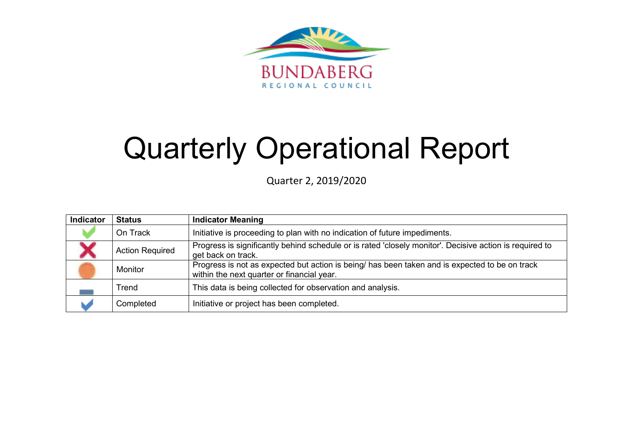

# Quarterly Operational Report

Quarter 2, 2019/2020

| Indicator | <b>Status</b>          | <b>Indicator Meaning</b>                                                                                                                     |
|-----------|------------------------|----------------------------------------------------------------------------------------------------------------------------------------------|
|           | On Track               | Initiative is proceeding to plan with no indication of future impediments.                                                                   |
|           | <b>Action Required</b> | Progress is significantly behind schedule or is rated 'closely monitor'. Decisive action is required to<br>get back on track.                |
|           | Monitor                | Progress is not as expected but action is being/ has been taken and is expected to be on track<br>within the next quarter or financial year. |
|           | Trend                  | This data is being collected for observation and analysis.                                                                                   |
|           | Completed              | Initiative or project has been completed.                                                                                                    |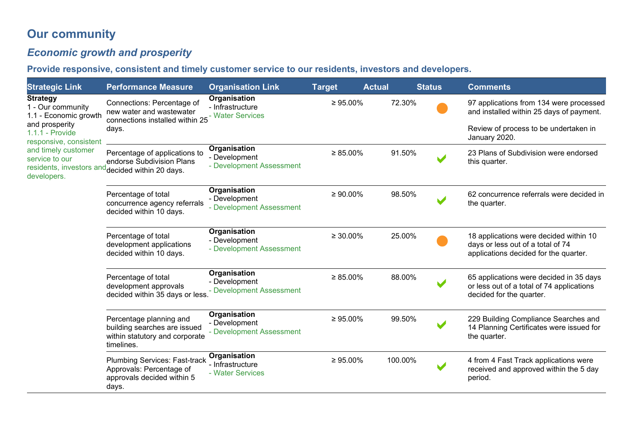# **Our community**

# *Economic growth and prosperity*

**Provide responsive, consistent and timely customer service to our residents, investors and developers.** 

| <b>Strategic Link</b>                                                                                                 | <b>Performance Measure</b>                                                                                                | <b>Organisation Link</b>                                  | <b>Target</b>  | <b>Actual</b> |         | <b>Status</b> | <b>Comments</b>                                                                                                      |
|-----------------------------------------------------------------------------------------------------------------------|---------------------------------------------------------------------------------------------------------------------------|-----------------------------------------------------------|----------------|---------------|---------|---------------|----------------------------------------------------------------------------------------------------------------------|
| <b>Strategy</b><br>1 - Our community<br>1.1 - Economic growth                                                         | Connections: Percentage of<br>new water and wastewater<br>connections installed within 25                                 | Organisation<br>- Infrastructure<br>- Water Services      | $\geq 95.00\%$ |               | 72.30%  |               | 97 applications from 134 were processed<br>and installed within 25 days of payment.                                  |
| and prosperity<br>$1.1.1 -$ Provide<br>responsive, consistent<br>and timely customer<br>service to our<br>developers. | days.                                                                                                                     |                                                           |                |               |         |               | Review of process to be undertaken in<br>January 2020.                                                               |
|                                                                                                                       | Percentage of applications to<br>endorse Subdivision Plans<br>residents, investors and <sub>decided</sub> within 20 days. | Organisation<br>- Development<br>- Development Assessment | $\geq 85.00\%$ |               | 91.50%  |               | 23 Plans of Subdivision were endorsed<br>this quarter.                                                               |
|                                                                                                                       | Percentage of total<br>concurrence agency referrals<br>decided within 10 days.                                            | Organisation<br>- Development<br>- Development Assessment | $\geq 90.00\%$ |               | 98.50%  |               | 62 concurrence referrals were decided in<br>the quarter.                                                             |
|                                                                                                                       | Percentage of total<br>development applications<br>decided within 10 days.                                                | Organisation<br>- Development<br>- Development Assessment | $\geq 30.00\%$ |               | 25.00%  |               | 18 applications were decided within 10<br>days or less out of a total of 74<br>applications decided for the quarter. |
|                                                                                                                       | Percentage of total<br>development approvals<br>decided within 35 days or less.                                           | Organisation<br>- Development<br>- Development Assessment | $\geq 85.00\%$ |               | 88.00%  |               | 65 applications were decided in 35 days<br>or less out of a total of 74 applications<br>decided for the quarter.     |
|                                                                                                                       | Percentage planning and<br>building searches are issued<br>within statutory and corporate<br>timelines.                   | Organisation<br>- Development<br>- Development Assessment | $\geq 95.00\%$ |               | 99.50%  |               | 229 Building Compliance Searches and<br>14 Planning Certificates were issued for<br>the quarter.                     |
|                                                                                                                       | <b>Plumbing Services: Fast-track</b><br>Approvals: Percentage of<br>approvals decided within 5<br>days.                   | Organisation<br>- Infrastructure<br>- Water Services      | $\geq 95.00\%$ |               | 100.00% |               | 4 from 4 Fast Track applications were<br>received and approved within the 5 day<br>period.                           |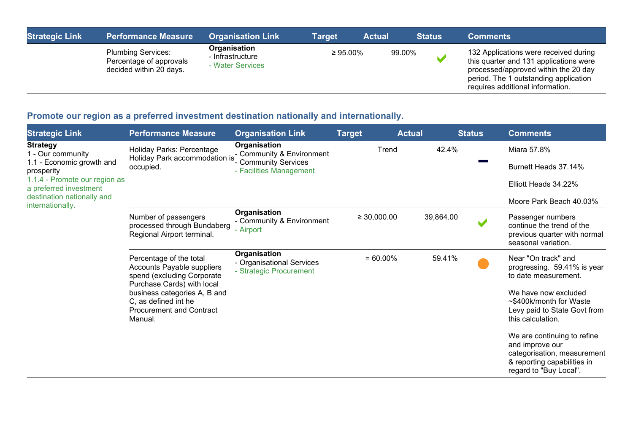| <b>Strategic Link</b> | <b>Performance Measure</b>                                                      | <b>Organisation Link</b>                             | Target         | <b>Actual</b> | <b>Status</b> | <b>Comments</b>                                                                                                                                                                                      |
|-----------------------|---------------------------------------------------------------------------------|------------------------------------------------------|----------------|---------------|---------------|------------------------------------------------------------------------------------------------------------------------------------------------------------------------------------------------------|
|                       | <b>Plumbing Services:</b><br>Percentage of approvals<br>decided within 20 days. | Organisation<br>- Infrastructure<br>- Water Services | $\geq 95.00\%$ |               | 99.00%        | 132 Applications were received during<br>this quarter and 131 applications were<br>processed/approved within the 20 day<br>period. The 1 outstanding application<br>requires additional information. |

# **Promote our region as a preferred investment destination nationally and internationally.**

| <b>Strategic Link</b>                                                                                     | <b>Performance Measure</b>                                                                                                                                                                                              | <b>Organisation Link</b>                                                                     | <b>Target</b>    | <b>Actual</b> | <b>Status</b> | <b>Comments</b>                                                                                                                                                                    |
|-----------------------------------------------------------------------------------------------------------|-------------------------------------------------------------------------------------------------------------------------------------------------------------------------------------------------------------------------|----------------------------------------------------------------------------------------------|------------------|---------------|---------------|------------------------------------------------------------------------------------------------------------------------------------------------------------------------------------|
| <b>Strategy</b><br>1 - Our community<br>1.1 - Economic growth and<br>prosperity                           | Holiday Parks: Percentage<br>Holiday Park accommodation is<br>occupied.                                                                                                                                                 | Organisation<br>- Community & Environment<br>- Community Services<br>- Facilities Management | Trend            |               | 42.4%         | Miara 57.8%<br>Burnett Heads 37.14%                                                                                                                                                |
| 1.1.4 - Promote our region as<br>a preferred investment<br>destination nationally and<br>internationally. |                                                                                                                                                                                                                         |                                                                                              |                  |               |               | Elliott Heads 34.22%<br>Moore Park Beach 40.03%                                                                                                                                    |
|                                                                                                           | Number of passengers<br>processed through Bundaberg<br>Regional Airport terminal.                                                                                                                                       | Organisation<br>- Community & Environment<br>- Airport                                       | $\geq 30,000.00$ | 39,864.00     | V             | Passenger numbers<br>continue the trend of the<br>previous quarter with normal<br>seasonal variation.                                                                              |
|                                                                                                           | Percentage of the total<br>Accounts Payable suppliers<br>spend (excluding Corporate<br>Purchase Cards) with local<br>business categories A, B and<br>C, as defined int he<br><b>Procurement and Contract</b><br>Manual. | Organisation<br>- Organisational Services<br>- Strategic Procurement                         | $= 60.00\%$      |               | 59.41%        | Near "On track" and<br>progressing. 59.41% is year<br>to date measurement.<br>We have now excluded<br>~\$400k/month for Waste<br>Levy paid to State Govt from<br>this calculation. |
|                                                                                                           |                                                                                                                                                                                                                         |                                                                                              |                  |               |               | We are continuing to refine<br>and improve our<br>categorisation, measurement<br>& reporting capabilities in<br>regard to "Buy Local".                                             |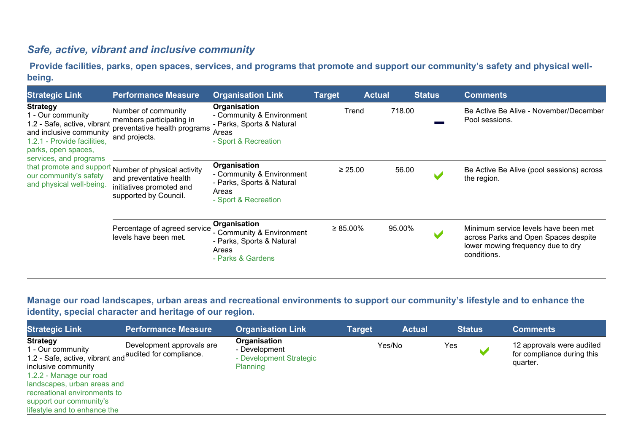### *Safe, active, vibrant and inclusive community*

**Provide facilities, parks, open spaces, services, and programs that promote and support our community's safety and physical wellbeing.**

| <b>Strategic Link</b>                                                                                                                                                                                                                | <b>Performance Measure</b>                                                                                                           | <b>Organisation Link</b>                                                                                | <b>Target</b>  | <b>Actual</b> | <u> Status</u> | <b>Comments</b>                                                                                                                  |
|--------------------------------------------------------------------------------------------------------------------------------------------------------------------------------------------------------------------------------------|--------------------------------------------------------------------------------------------------------------------------------------|---------------------------------------------------------------------------------------------------------|----------------|---------------|----------------|----------------------------------------------------------------------------------------------------------------------------------|
| <b>Strategy</b><br>1 - Our community<br>1.2 - Safe, active, vibrant<br>and inclusive community<br>1.2.1 - Provide facilities,<br>parks, open spaces,<br>services, and programs<br>our community's safety<br>and physical well-being. | Number of community<br>members participating in<br>preventative health programs<br>and projects.                                     | Organisation<br>- Community & Environment<br>- Parks, Sports & Natural<br>Areas<br>- Sport & Recreation | Trend          | 718.00        |                | Be Active Be Alive - November/December<br>Pool sessions.                                                                         |
|                                                                                                                                                                                                                                      | that promote and support Number of physical activity<br>and preventative health<br>initiatives promoted and<br>supported by Council. | Organisation<br>- Community & Environment<br>- Parks, Sports & Natural<br>Areas<br>- Sport & Recreation | $\geq 25.00$   | 56.00         |                | Be Active Be Alive (pool sessions) across<br>the region.                                                                         |
|                                                                                                                                                                                                                                      | Percentage of agreed service<br>levels have been met.                                                                                | Organisation<br>- Community & Environment<br>- Parks, Sports & Natural<br>Areas<br>- Parks & Gardens    | $\geq 85.00\%$ | 95.00%        |                | Minimum service levels have been met<br>across Parks and Open Spaces despite<br>lower mowing frequency due to dry<br>conditions. |

#### **Manage our road landscapes, urban areas and recreational environments to support our community's lifestyle and to enhance the identity, special character and heritage of our region.**

| <b>Strategic Link</b>                                                                                                                                                                                                                                                       | <b>Performance Measure</b> | <b>Organisation Link</b>                                                    | Target | <b>Actual</b> |     | <b>Status</b> | <b>Comments</b>                                                     |
|-----------------------------------------------------------------------------------------------------------------------------------------------------------------------------------------------------------------------------------------------------------------------------|----------------------------|-----------------------------------------------------------------------------|--------|---------------|-----|---------------|---------------------------------------------------------------------|
| <b>Strategy</b><br>1 - Our community<br>1.2 - Safe, active, vibrant and audited for compliance.<br>inclusive community<br>1.2.2 - Manage our road<br>landscapes, urban areas and<br>recreational environments to<br>support our community's<br>lifestyle and to enhance the | Development approvals are  | Organisation<br>- Development<br>- Development Strategic<br><b>Planning</b> |        | Yes/No        | Yes |               | 12 approvals were audited<br>for compliance during this<br>quarter. |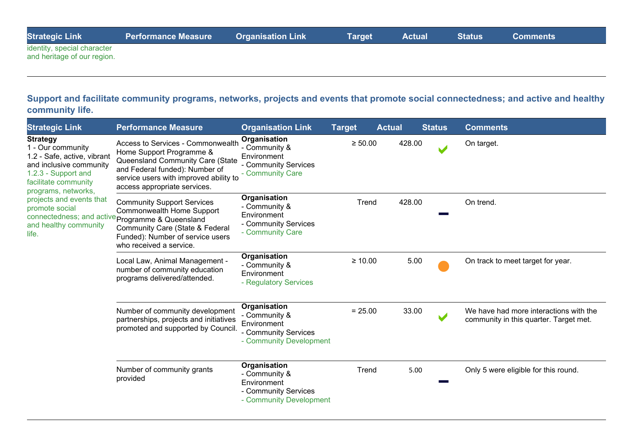| <b>Strategic Link</b>       | <b>Performance Measure</b> | <b>Organisation Link</b> | Target | <b>Actual</b> | <b>Status</b> | <b>Comments</b> |  |
|-----------------------------|----------------------------|--------------------------|--------|---------------|---------------|-----------------|--|
| identity, special character |                            |                          |        |               |               |                 |  |
| and heritage of our region. |                            |                          |        |               |               |                 |  |

#### **Support and facilitate community programs, networks, projects and events that promote social connectedness; and active and healthy community life.**

| <b>Strategic Link</b>                                                                                                                                                                                                                                | <b>Performance Measure</b>                                                                                                                                                                                                      | <b>Organisation Link</b>                                                                        | <b>Target</b> | <b>Actual</b> | <b>Status</b> | <b>Comments</b>                                                                  |
|------------------------------------------------------------------------------------------------------------------------------------------------------------------------------------------------------------------------------------------------------|---------------------------------------------------------------------------------------------------------------------------------------------------------------------------------------------------------------------------------|-------------------------------------------------------------------------------------------------|---------------|---------------|---------------|----------------------------------------------------------------------------------|
| <b>Strategy</b><br>1 - Our community<br>1.2 - Safe, active, vibrant<br>and inclusive community<br>1.2.3 - Support and<br>facilitate community<br>programs, networks,<br>projects and events that<br>promote social<br>and healthy community<br>life. | Access to Services - Commonwealth<br>Home Support Programme &<br>Queensland Community Care (State<br>and Federal funded): Number of<br>service users with improved ability to<br>access appropriate services.                   | Organisation<br>- Community &<br>Environment<br>- Community Services<br>- Community Care        | $\geq 50.00$  | 428.00        |               | On target.                                                                       |
|                                                                                                                                                                                                                                                      | <b>Community Support Services</b><br>Commonwealth Home Support<br>connectedness; and active programme & Queensland<br><b>Community Care (State &amp; Federal</b><br>Funded): Number of service users<br>who received a service. | Organisation<br>- Community &<br>Environment<br>- Community Services<br>- Community Care        | Trend         | 428.00        |               | On trend.                                                                        |
|                                                                                                                                                                                                                                                      | Local Law, Animal Management -<br>number of community education<br>programs delivered/attended.                                                                                                                                 | Organisation<br>- Community &<br>Environment<br>- Regulatory Services                           | $\geq 10.00$  |               | 5.00          | On track to meet target for year.                                                |
|                                                                                                                                                                                                                                                      | Number of community development<br>partnerships, projects and initiatives<br>promoted and supported by Council.                                                                                                                 | Organisation<br>- Community &<br>Environment<br>- Community Services<br>- Community Development | $= 25.00$     |               | 33.00         | We have had more interactions with the<br>community in this quarter. Target met. |
|                                                                                                                                                                                                                                                      | Number of community grants<br>provided                                                                                                                                                                                          | Organisation<br>- Community &<br>Environment<br>- Community Services<br>- Community Development | Trend         |               | 5.00          | Only 5 were eligible for this round.                                             |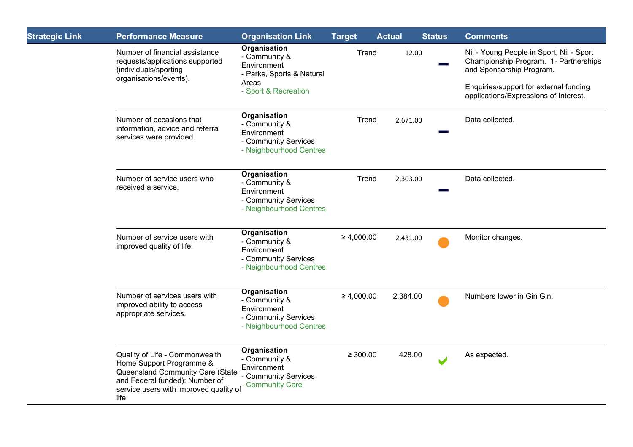| <b>Strategic Link</b> | <b>Performance Measure</b>                                                                                                                                                          | <b>Organisation Link</b>                                                                        | <b>Target</b>   | <b>Actual</b> | <b>Status</b>            | <b>Comments</b>                                                                                               |
|-----------------------|-------------------------------------------------------------------------------------------------------------------------------------------------------------------------------------|-------------------------------------------------------------------------------------------------|-----------------|---------------|--------------------------|---------------------------------------------------------------------------------------------------------------|
|                       | Number of financial assistance<br>requests/applications supported<br>(individuals/sporting<br>organisations/events).                                                                | Organisation<br>- Community &<br>Environment<br>- Parks, Sports & Natural<br>Areas              | Trend           | 12.00         |                          | Nil - Young People in Sport, Nil - Sport<br>Championship Program. 1- Partnerships<br>and Sponsorship Program. |
|                       |                                                                                                                                                                                     | - Sport & Recreation                                                                            |                 |               |                          | Enquiries/support for external funding<br>applications/Expressions of Interest.                               |
|                       | Number of occasions that<br>information, advice and referral<br>services were provided.                                                                                             | Organisation<br>- Community &<br>Environment<br>- Community Services<br>- Neighbourhood Centres | Trend           | 2,671.00      |                          | Data collected.                                                                                               |
|                       | Number of service users who<br>received a service.                                                                                                                                  | Organisation<br>- Community &<br>Environment<br>- Community Services<br>- Neighbourhood Centres | Trend           | 2,303.00      |                          | Data collected.                                                                                               |
|                       | Number of service users with<br>improved quality of life.                                                                                                                           | Organisation<br>- Community &<br>Environment<br>- Community Services<br>- Neighbourhood Centres | $\geq 4,000.00$ | 2,431.00      |                          | Monitor changes.                                                                                              |
|                       | Number of services users with<br>improved ability to access<br>appropriate services.                                                                                                | Organisation<br>- Community &<br>Environment<br>- Community Services<br>- Neighbourhood Centres | $\geq 4,000.00$ | 2,384.00      |                          | Numbers lower in Gin Gin.                                                                                     |
|                       | Quality of Life - Commonwealth<br>Home Support Programme &<br>Queensland Community Care (State<br>and Federal funded): Number of<br>service users with improved quality of<br>life. | Organisation<br>- Community &<br>Environment<br>- Community Services<br><b>Community Care</b>   | $\geq 300.00$   | 428.00        | $\overline{\phantom{a}}$ | As expected.                                                                                                  |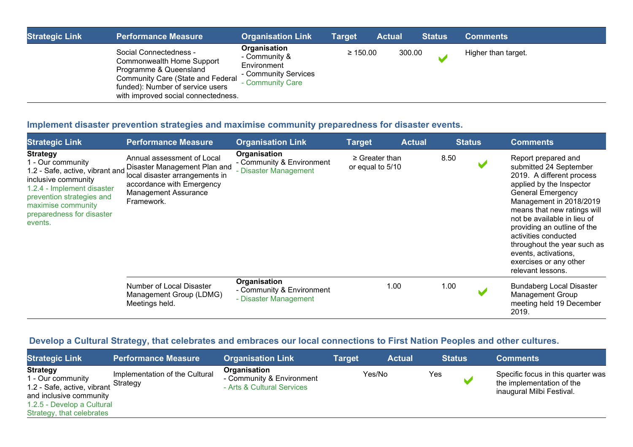| <b>Strategic Link</b> | <b>Performance Measure</b>                                                                                                                                                                                  | <b>Organisation Link</b>                                                                 | <b>Target</b> | <b>Actual</b> | <b>Status</b> | <b>Comments</b>     |
|-----------------------|-------------------------------------------------------------------------------------------------------------------------------------------------------------------------------------------------------------|------------------------------------------------------------------------------------------|---------------|---------------|---------------|---------------------|
|                       | Social Connectedness -<br><b>Commonwealth Home Support</b><br>Programme & Queensland<br><b>Community Care (State and Federal</b><br>funded): Number of service users<br>with improved social connectedness. | Organisation<br>- Community &<br>Environment<br>- Community Services<br>- Community Care | $\geq 150.00$ | 300.00        |               | Higher than target. |

### **Implement disaster prevention strategies and maximise community preparedness for disaster events.**

| <b>Strategic Link</b>                                                                                                                                                                                                   | <b>Performance Measure</b>                                                                                                                                             | <b>Organisation Link</b>                                           | <b>Target</b>                           | <b>Actual</b> | <u>Status </u> | <b>Comments</b>                                                                                                                                                                                                                                                                                                                                                                          |
|-------------------------------------------------------------------------------------------------------------------------------------------------------------------------------------------------------------------------|------------------------------------------------------------------------------------------------------------------------------------------------------------------------|--------------------------------------------------------------------|-----------------------------------------|---------------|----------------|------------------------------------------------------------------------------------------------------------------------------------------------------------------------------------------------------------------------------------------------------------------------------------------------------------------------------------------------------------------------------------------|
| <b>Strategy</b><br>1 - Our community<br>1.2 - Safe, active, vibrant and<br>inclusive community<br>1.2.4 - Implement disaster<br>prevention strategies and<br>maximise community<br>preparedness for disaster<br>events. | Annual assessment of Local<br>Disaster Management Plan and<br>local disaster arrangements in<br>accordance with Emergency<br><b>Management Assurance</b><br>Framework. | Organisation<br>- Community & Environment<br>- Disaster Management | $\geq$ Greater than<br>or equal to 5/10 |               | 8.50           | Report prepared and<br>submitted 24 September<br>2019. A different process<br>applied by the Inspector<br><b>General Emergency</b><br>Management in 2018/2019<br>means that new ratings will<br>not be available in lieu of<br>providing an outline of the<br>activities conducted<br>throughout the year such as<br>events, activations,<br>exercises or any other<br>relevant lessons. |
|                                                                                                                                                                                                                         | Number of Local Disaster<br>Management Group (LDMG)<br>Meetings held.                                                                                                  | Organisation<br>- Community & Environment<br>- Disaster Management | 1.00                                    |               | 1.00           | <b>Bundaberg Local Disaster</b><br><b>Management Group</b><br>meeting held 19 December<br>2019.                                                                                                                                                                                                                                                                                          |

### **Develop a Cultural Strategy, that celebrates and embraces our local connections to First Nation Peoples and other cultures.**

| <b>Strategic Link</b>                                                                                                                                     | <b>Performance Measure</b>                 | <b>Organisation Link</b>                                                | Target | <b>Actual</b> | <b>Status</b> | <b>Comments</b>                                                                              |
|-----------------------------------------------------------------------------------------------------------------------------------------------------------|--------------------------------------------|-------------------------------------------------------------------------|--------|---------------|---------------|----------------------------------------------------------------------------------------------|
| <b>Strategy</b><br>1 - Our community<br>1.2 - Safe, active, vibrant<br>and inclusive community<br>1.2.5 - Develop a Cultural<br>Strategy, that celebrates | Implementation of the Cultural<br>Strategy | Organisation<br>- Community & Environment<br>- Arts & Cultural Services |        | Yes/No        | Yes           | Specific focus in this quarter was<br>the implementation of the<br>inaugural Milbi Festival. |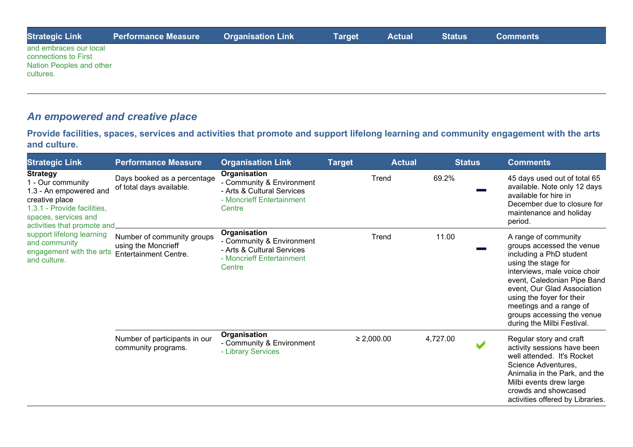| <b>Strategic Link</b>                                                                   | <b>Performance Measure</b> | <b>Organisation Link</b> | <b>Target</b> | <b>Actual</b> | <b>Status</b> | <b>Comments</b> |  |
|-----------------------------------------------------------------------------------------|----------------------------|--------------------------|---------------|---------------|---------------|-----------------|--|
| and embraces our local<br>connections to First<br>Nation Peoples and other<br>cultures. |                            |                          |               |               |               |                 |  |

# *An empowered and creative place*

**Provide facilities, spaces, services and activities that promote and support lifelong learning and community engagement with the arts and culture.**

| <b>Strategic Link</b>                                                                                                                                                                                                                                                                  | <b>Performance Measure</b>                              | <b>Organisation Link</b>                                                                                       | <b>Target</b>   | <b>Actual</b> | <b>Status</b> | <b>Comments</b>                                                                                                                                                                                                                                                                                                       |
|----------------------------------------------------------------------------------------------------------------------------------------------------------------------------------------------------------------------------------------------------------------------------------------|---------------------------------------------------------|----------------------------------------------------------------------------------------------------------------|-----------------|---------------|---------------|-----------------------------------------------------------------------------------------------------------------------------------------------------------------------------------------------------------------------------------------------------------------------------------------------------------------------|
| <b>Strategy</b><br>1 - Our community<br>1.3 - An empowered and<br>creative place<br>1.3.1 - Provide facilities,<br>spaces, services and<br>activities that promote and<br>support lifelong learning<br>and community<br>engagement with the arts Entertainment Centre.<br>and culture. | Days booked as a percentage<br>of total days available. | Organisation<br>- Community & Environment<br>- Arts & Cultural Services<br>- Moncrieff Entertainment<br>Centre |                 | Trend         | 69.2%         | 45 days used out of total 65<br>available. Note only 12 days<br>available for hire in<br>December due to closure for<br>maintenance and holiday<br>period.                                                                                                                                                            |
|                                                                                                                                                                                                                                                                                        | Number of community groups<br>using the Moncrieff       | Organisation<br>- Community & Environment<br>- Arts & Cultural Services<br>- Moncrieff Entertainment<br>Centre |                 | Trend         | 11.00         | A range of community<br>groups accessed the venue<br>including a PhD student<br>using the stage for<br>interviews, male voice choir<br>event, Caledonian Pipe Band<br>event, Our Glad Association<br>using the foyer for their<br>meetings and a range of<br>groups accessing the venue<br>during the Milbi Festival. |
|                                                                                                                                                                                                                                                                                        | Number of participants in our<br>community programs.    | Organisation<br>- Community & Environment<br>- Library Services                                                | $\geq 2,000.00$ |               | 4,727.00      | Regular story and craft<br>activity sessions have been<br>well attended. It's Rocket<br>Science Adventures,<br>Animalia in the Park, and the<br>Milbi events drew large<br>crowds and showcased<br>activities offered by Libraries.                                                                                   |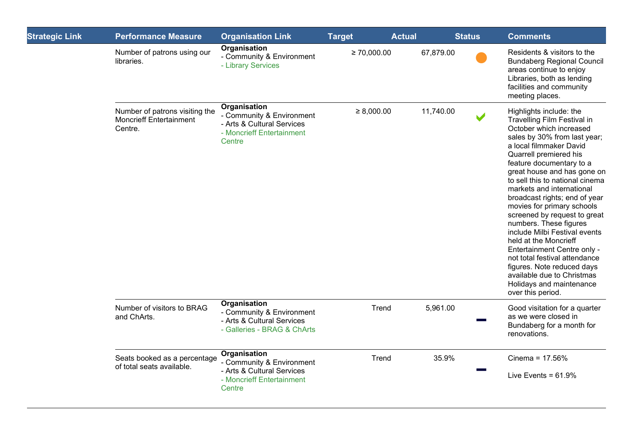| <b>Strategic Link</b> | <b>Performance Measure</b>                                                  | <b>Organisation Link</b>                                                                                       | <b>Target</b>    | <b>Actual</b> | <b>Status</b>         | <b>Comments</b>                                                                                                                                                                                                                                                                                                                                                                                                                                                                                                                                                                                                                                                   |
|-----------------------|-----------------------------------------------------------------------------|----------------------------------------------------------------------------------------------------------------|------------------|---------------|-----------------------|-------------------------------------------------------------------------------------------------------------------------------------------------------------------------------------------------------------------------------------------------------------------------------------------------------------------------------------------------------------------------------------------------------------------------------------------------------------------------------------------------------------------------------------------------------------------------------------------------------------------------------------------------------------------|
|                       | Number of patrons using our<br>libraries.                                   | Organisation<br>- Community & Environment<br>- Library Services                                                | $\geq 70,000.00$ | 67,879.00     |                       | Residents & visitors to the<br><b>Bundaberg Regional Council</b><br>areas continue to enjoy<br>Libraries, both as lending<br>facilities and community<br>meeting places.                                                                                                                                                                                                                                                                                                                                                                                                                                                                                          |
|                       | Number of patrons visiting the<br><b>Moncrieff Entertainment</b><br>Centre. | Organisation<br>- Community & Environment<br>- Arts & Cultural Services<br>- Moncrieff Entertainment<br>Centre | $\geq 8,000.00$  | 11,740.00     | $\blacktriangleright$ | Highlights include: the<br>Travelling Film Festival in<br>October which increased<br>sales by 30% from last year;<br>a local filmmaker David<br>Quarrell premiered his<br>feature documentary to a<br>great house and has gone on<br>to sell this to national cinema<br>markets and international<br>broadcast rights; end of year<br>movies for primary schools<br>screened by request to great<br>numbers. These figures<br>include Milbi Festival events<br>held at the Moncrieff<br>Entertainment Centre only -<br>not total festival attendance<br>figures. Note reduced days<br>available due to Christmas<br>Holidays and maintenance<br>over this period. |
|                       | Number of visitors to BRAG<br>and ChArts.                                   | Organisation<br>- Community & Environment<br>- Arts & Cultural Services<br>- Galleries - BRAG & ChArts         | Trend            | 5,961.00      |                       | Good visitation for a quarter<br>as we were closed in<br>Bundaberg for a month for<br>renovations.                                                                                                                                                                                                                                                                                                                                                                                                                                                                                                                                                                |
|                       | Seats booked as a percentage<br>of total seats available.                   | Organisation<br>- Community & Environment<br>- Arts & Cultural Services<br>- Moncrieff Entertainment<br>Centre | Trend            | 35.9%         |                       | Cinema = $17.56%$<br>Live Events = $61.9\%$                                                                                                                                                                                                                                                                                                                                                                                                                                                                                                                                                                                                                       |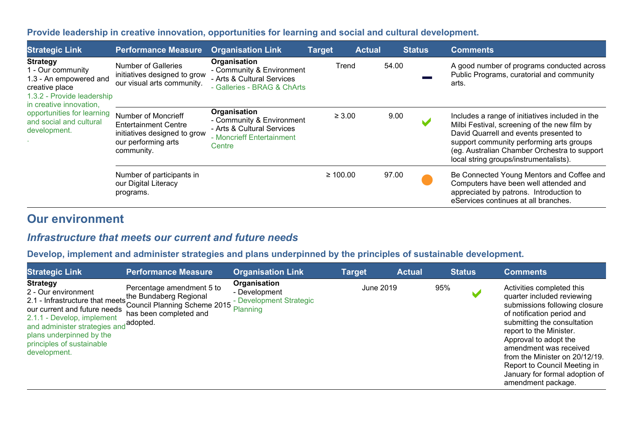### **Provide leadership in creative innovation, opportunities for learning and social and cultural development.**

| <b>Strategic Link</b>                                                                                                                                                                                              | <b>Performance Measure</b>                                                                                              | <b>Organisation Link</b>                                                                                       | <b>Target</b> | <b>Actual</b> |       | <b>Status</b> | <b>Comments</b>                                                                                                                                                                                                                                                                 |
|--------------------------------------------------------------------------------------------------------------------------------------------------------------------------------------------------------------------|-------------------------------------------------------------------------------------------------------------------------|----------------------------------------------------------------------------------------------------------------|---------------|---------------|-------|---------------|---------------------------------------------------------------------------------------------------------------------------------------------------------------------------------------------------------------------------------------------------------------------------------|
| <b>Strategy</b><br>1 - Our community<br>1.3 - An empowered and<br>creative place<br>1.3.2 - Provide leadership<br>in creative innovation,<br>opportunities for learning<br>and social and cultural<br>development. | <b>Number of Galleries</b><br>initiatives designed to grow<br>our visual arts community.                                | Organisation<br>- Community & Environment<br>- Arts & Cultural Services<br>- Galleries - BRAG & ChArts         | Trend         |               | 54.00 |               | A good number of programs conducted across<br>Public Programs, curatorial and community<br>arts.                                                                                                                                                                                |
|                                                                                                                                                                                                                    | Number of Moncrieff<br><b>Entertainment Centre</b><br>initiatives designed to grow<br>our performing arts<br>community. | Organisation<br>- Community & Environment<br>- Arts & Cultural Services<br>- Moncrieff Entertainment<br>Centre | $\geq 3.00$   |               | 9.00  |               | Includes a range of initiatives included in the<br>Milbi Festival, screening of the new film by<br>David Quarrell and events presented to<br>support community performing arts groups<br>(eg. Australian Chamber Orchestra to support<br>local string groups/instrumentalists). |
|                                                                                                                                                                                                                    | Number of participants in<br>our Digital Literacy<br>programs.                                                          |                                                                                                                | $\geq 100.00$ |               | 97.00 |               | Be Connected Young Mentors and Coffee and<br>Computers have been well attended and<br>appreciated by patrons. Introduction to<br>eServices continues at all branches.                                                                                                           |

# **Our environment**

### *Infrastructure that meets our current and future needs*

#### **Develop, implement and administer strategies and plans underpinned by the principles of sustainable development.**

| <b>Strategic Link</b>                                                                                                                                                                                                                                                             | <b>Performance Measure</b>                                                          | <b>Organisation Link</b>                                             | <b>Target</b> | <b>Actual</b> |     | <b>Status</b> | <b>Comments</b>                                                                                                                                                                                                                                                                                                                                               |
|-----------------------------------------------------------------------------------------------------------------------------------------------------------------------------------------------------------------------------------------------------------------------------------|-------------------------------------------------------------------------------------|----------------------------------------------------------------------|---------------|---------------|-----|---------------|---------------------------------------------------------------------------------------------------------------------------------------------------------------------------------------------------------------------------------------------------------------------------------------------------------------------------------------------------------------|
| <b>Strategy</b><br>2 - Our environment<br>2.1 - Infrastructure that meets the Bundaberg Regional<br>our current and future needs<br>2.1.1 - Develop, implement<br>and administer strategies and adopted.<br>plans underpinned by the<br>principles of sustainable<br>development. | Percentage amendment 5 to<br>Council Planning Scheme 2015<br>has been completed and | Organisation<br>- Development<br>- Development Strategic<br>Planning | June 2019     |               | 95% |               | Activities completed this<br>quarter included reviewing<br>submissions following closure<br>of notification period and<br>submitting the consultation<br>report to the Minister.<br>Approval to adopt the<br>amendment was received<br>from the Minister on 20/12/19.<br>Report to Council Meeting in<br>January for formal adoption of<br>amendment package. |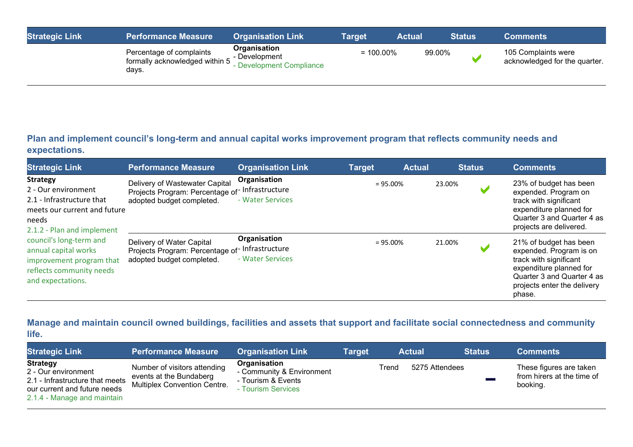| <b>Strategic Link</b> | <b>Performance Measure</b>                                          | <b>Organisation Link</b>                                       | Target       | <b>Actual</b> | <b>Status</b> | <b>Comments</b>                                      |
|-----------------------|---------------------------------------------------------------------|----------------------------------------------------------------|--------------|---------------|---------------|------------------------------------------------------|
|                       | Percentage of complaints<br>formally acknowledged within 5<br>days. | Organisation<br>- Development<br><b>Development Compliance</b> | $= 100.00\%$ | 99.00%        |               | 105 Complaints were<br>acknowledged for the quarter. |

**Plan and implement council's long-term and annual capital works improvement program that reflects community needs and expectations.**

| <b>Strategic Link</b>                                                                                                                                                                                                                                                      | <b>Performance Measure</b>                                                                                    | <b>Organisation Link</b>         | <b>Target</b> | <b>Actual</b> |        | <b>Status</b> | <b>Comments</b>                                                                                                                                                               |
|----------------------------------------------------------------------------------------------------------------------------------------------------------------------------------------------------------------------------------------------------------------------------|---------------------------------------------------------------------------------------------------------------|----------------------------------|---------------|---------------|--------|---------------|-------------------------------------------------------------------------------------------------------------------------------------------------------------------------------|
| <b>Strategy</b><br>2 - Our environment<br>2.1 - Infrastructure that<br>meets our current and future<br>needs<br>2.1.2 - Plan and implement<br>council's long-term and<br>annual capital works<br>improvement program that<br>reflects community needs<br>and expectations. | Delivery of Wastewater Capital<br>Projects Program: Percentage of Infrastructure<br>adopted budget completed. | Organisation<br>- Water Services | $= 95.00\%$   |               | 23.00% |               | 23% of budget has been<br>expended. Program on<br>track with significant<br>expenditure planned for<br>Quarter 3 and Quarter 4 as<br>projects are delivered.                  |
|                                                                                                                                                                                                                                                                            | Delivery of Water Capital<br>Projects Program: Percentage of Infrastructure<br>adopted budget completed.      | Organisation<br>- Water Services | $= 95.00\%$   |               | 21.00% |               | 21% of budget has been<br>expended. Program is on<br>track with significant<br>expenditure planned for<br>Quarter 3 and Quarter 4 as<br>projects enter the delivery<br>phase. |

#### **Manage and maintain council owned buildings, facilities and assets that support and facilitate social connectedness and community life.**

| <b>Strategic Link</b>                                                                                                                    | <b>Performance Measure</b>                                                                     | <b>Organisation Link</b>                                                              | Target |       | <b>Actual</b>  | <b>Status</b> | <b>Comments</b>                                                   |
|------------------------------------------------------------------------------------------------------------------------------------------|------------------------------------------------------------------------------------------------|---------------------------------------------------------------------------------------|--------|-------|----------------|---------------|-------------------------------------------------------------------|
| <b>Strategy</b><br>2 - Our environment<br>2.1 - Infrastructure that meets<br>our current and future needs<br>2.1.4 - Manage and maintain | Number of visitors attending<br>events at the Bundaberg<br><b>Multiplex Convention Centre.</b> | Organisation<br>- Community & Environment<br>- Tourism & Events<br>- Tourism Services |        | Trend | 5275 Attendees |               | These figures are taken<br>from hirers at the time of<br>booking. |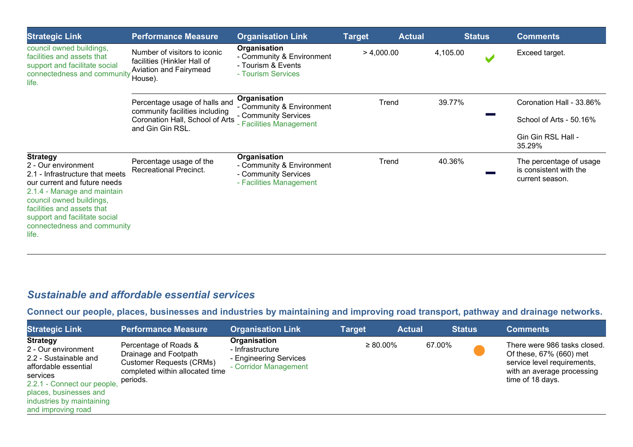| <b>Strategic Link</b>                                                                                                                                                                                                                                                       | <b>Performance Measure</b>                                                                                             | <b>Organisation Link</b>                                                                     | <b>Target</b> | <b>Actual</b> |  | <b>Status</b> | <b>Comments</b>              |  |                                                     |  |                                                                      |
|-----------------------------------------------------------------------------------------------------------------------------------------------------------------------------------------------------------------------------------------------------------------------------|------------------------------------------------------------------------------------------------------------------------|----------------------------------------------------------------------------------------------|---------------|---------------|--|---------------|------------------------------|--|-----------------------------------------------------|--|----------------------------------------------------------------------|
| council owned buildings,<br>facilities and assets that<br>support and facilitate social<br>connectedness and community<br>life.                                                                                                                                             | Number of visitors to iconic<br>facilities (Hinkler Hall of<br>Aviation and Fairymead<br>House).                       | Organisation<br>- Community & Environment<br>- Tourism & Events<br>- Tourism Services        | > 4,000.00    |               |  |               |                              |  | 4,105.00                                            |  | Exceed target.                                                       |
|                                                                                                                                                                                                                                                                             | Percentage usage of halls and<br>community facilities including<br>Coronation Hall, School of Arts<br>and Gin Gin RSL. | Organisation<br>- Community & Environment<br>- Community Services<br>- Facilities Management | Trend         |               |  |               | 39.77%                       |  | Coronation Hall - 33.86%<br>School of Arts - 50.16% |  |                                                                      |
|                                                                                                                                                                                                                                                                             |                                                                                                                        |                                                                                              |               |               |  |               | Gin Gin RSL Hall -<br>35.29% |  |                                                     |  |                                                                      |
| <b>Strategy</b><br>2 - Our environment<br>2.1 - Infrastructure that meets<br>our current and future needs<br>2.1.4 - Manage and maintain<br>council owned buildings,<br>facilities and assets that<br>support and facilitate social<br>connectedness and community<br>life. | Percentage usage of the<br>Recreational Precinct.                                                                      | Organisation<br>- Community & Environment<br>- Community Services<br>- Facilities Management | Trend         |               |  |               |                              |  | 40.36%                                              |  | The percentage of usage<br>is consistent with the<br>current season. |

### *Sustainable and affordable essential services*

**Connect our people, places, businesses and industries by maintaining and improving road transport, pathway and drainage networks.** 

| <b>Strategic Link</b>                                                                                                                                                                                           | <b>Performance Measure</b>                                                                                                       | <b>Organisation Link</b>                                                            | <b>Target</b>  | <b>Actual</b> | <b>Status</b> | <b>Comments</b>                                                                                                                          |
|-----------------------------------------------------------------------------------------------------------------------------------------------------------------------------------------------------------------|----------------------------------------------------------------------------------------------------------------------------------|-------------------------------------------------------------------------------------|----------------|---------------|---------------|------------------------------------------------------------------------------------------------------------------------------------------|
| <b>Strategy</b><br>2 - Our environment<br>2.2 - Sustainable and<br>affordable essential<br>services<br>2.2.1 - Connect our people,<br>places, businesses and<br>industries by maintaining<br>and improving road | Percentage of Roads &<br>Drainage and Footpath<br><b>Customer Requests (CRMs)</b><br>completed within allocated time<br>periods. | Organisation<br>- Infrastructure<br>- Engineering Services<br>- Corridor Management | $\geq 80.00\%$ |               | 67.00%        | There were 986 tasks closed.<br>Of these, 67% (660) met<br>service level requirements,<br>with an average processing<br>time of 18 days. |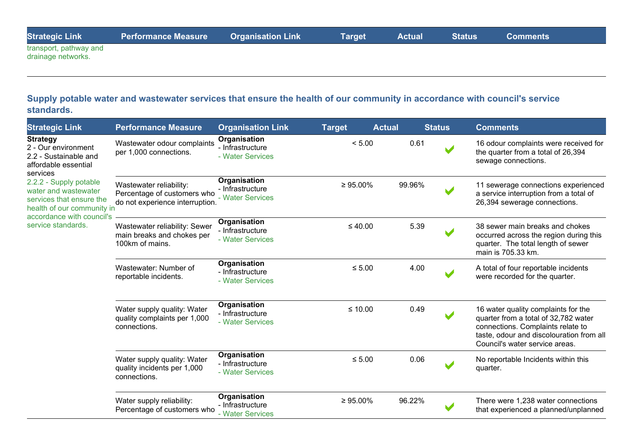| <b>Strategic Link</b> | ● Performance Measure    Organisation Link      Target     Actual     Status |  |  | <b>Comments</b> |
|-----------------------|------------------------------------------------------------------------------|--|--|-----------------|
| trance of pathway and |                                                                              |  |  |                 |

transport, pathway and drainage networks.

#### **Supply potable water and wastewater services that ensure the health of our community in accordance with council's service standards.**

| <b>Strategic Link</b>                                                                                                                                                                                                                                              | <b>Performance Measure</b>                                                                | <b>Organisation Link</b>                             | <b>Target</b>  | <b>Actual</b> |        | <b>Status</b>        | <b>Comments</b>                                                                                                                                                                                |
|--------------------------------------------------------------------------------------------------------------------------------------------------------------------------------------------------------------------------------------------------------------------|-------------------------------------------------------------------------------------------|------------------------------------------------------|----------------|---------------|--------|----------------------|------------------------------------------------------------------------------------------------------------------------------------------------------------------------------------------------|
| <b>Strategy</b><br>2 - Our environment<br>2.2 - Sustainable and<br>affordable essential<br>services<br>2.2.2 - Supply potable<br>water and wastewater<br>services that ensure the<br>health of our community in<br>accordance with council's<br>service standards. | Wastewater odour complaints<br>per 1,000 connections.                                     | Organisation<br>- Infrastructure<br>- Water Services | < 5.00         |               | 0.61   |                      | 16 odour complaints were received for<br>the quarter from a total of 26,394<br>sewage connections.                                                                                             |
|                                                                                                                                                                                                                                                                    | Wastewater reliability:<br>Percentage of customers who<br>do not experience interruption. | Organisation<br>- Infrastructure<br>- Water Services | $\geq 95.00\%$ |               | 99.96% | $\blacktriangledown$ | 11 sewerage connections experienced<br>a service interruption from a total of<br>26,394 sewerage connections.                                                                                  |
|                                                                                                                                                                                                                                                                    | Wastewater reliability: Sewer<br>main breaks and chokes per<br>100km of mains.            | Organisation<br>- Infrastructure<br>- Water Services | $\leq 40.00$   |               | 5.39   |                      | 38 sewer main breaks and chokes<br>occurred across the region during this<br>quarter. The total length of sewer<br>main is 705.33 km.                                                          |
|                                                                                                                                                                                                                                                                    | Wastewater: Number of<br>reportable incidents.                                            | Organisation<br>- Infrastructure<br>- Water Services | $\leq 5.00$    |               | 4.00   |                      | A total of four reportable incidents<br>were recorded for the quarter.                                                                                                                         |
|                                                                                                                                                                                                                                                                    | Water supply quality: Water<br>quality complaints per 1,000<br>connections.               | Organisation<br>- Infrastructure<br>- Water Services | $\leq 10.00$   |               | 0.49   |                      | 16 water quality complaints for the<br>quarter from a total of 32,782 water<br>connections. Complaints relate to<br>taste, odour and discolouration from all<br>Council's water service areas. |
|                                                                                                                                                                                                                                                                    | Water supply quality: Water<br>quality incidents per 1,000<br>connections.                | Organisation<br>- Infrastructure<br>- Water Services | $\leq 5.00$    |               | 0.06   |                      | No reportable Incidents within this<br>quarter.                                                                                                                                                |
|                                                                                                                                                                                                                                                                    | Water supply reliability:<br>Percentage of customers who                                  | Organisation<br>- Infrastructure<br>- Water Services | $\geq 95.00\%$ |               | 96.22% |                      | There were 1,238 water connections<br>that experienced a planned/unplanned                                                                                                                     |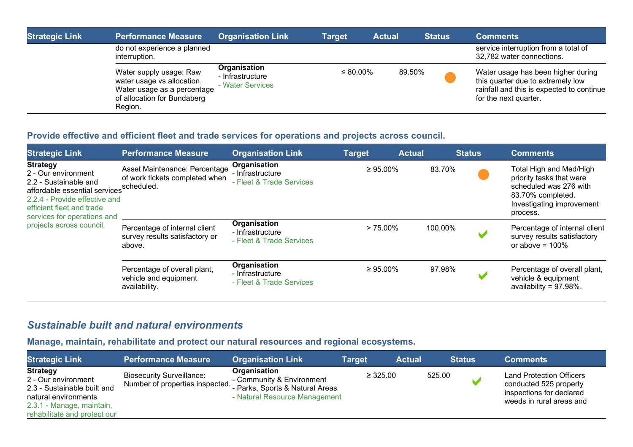| <b>Strategic Link</b> | <b>Performance Measure</b>                                                                                                     | <b>Organisation Link</b>                             | <b>Target</b> | <b>Actual</b> | <b>Status</b> | <b>Comments</b>                                                                                                                               |
|-----------------------|--------------------------------------------------------------------------------------------------------------------------------|------------------------------------------------------|---------------|---------------|---------------|-----------------------------------------------------------------------------------------------------------------------------------------------|
|                       | do not experience a planned<br>interruption.                                                                                   |                                                      |               |               |               | service interruption from a total of<br>32,782 water connections.                                                                             |
|                       | Water supply usage: Raw<br>water usage vs allocation.<br>Water usage as a percentage<br>of allocation for Bundaberg<br>Region. | Organisation<br>- Infrastructure<br>- Water Services | ≤ 80.00%      |               | 89.50%        | Water usage has been higher during<br>this quarter due to extremely low<br>rainfall and this is expected to continue<br>for the next quarter. |

### **Provide effective and efficient fleet and trade services for operations and projects across council.**

| <b>Strategic Link</b>                                                                                                                                                                                                     | <b>Performance Measure</b>                                                    | <b>Organisation Link</b>                                     | <b>Target</b>  | <b>Actual</b> | <b>Status</b> |  | <b>Comments</b>                                                                                                                             |
|---------------------------------------------------------------------------------------------------------------------------------------------------------------------------------------------------------------------------|-------------------------------------------------------------------------------|--------------------------------------------------------------|----------------|---------------|---------------|--|---------------------------------------------------------------------------------------------------------------------------------------------|
| <b>Strategy</b><br>2 - Our environment<br>2.2 - Sustainable and<br>affordable essential services<br>2.2.4 - Provide effective and<br>efficient fleet and trade<br>services for operations and<br>projects across council. | Asset Maintenance: Percentage<br>of work tickets completed when<br>scheduled. | Organisation<br>- Infrastructure<br>- Fleet & Trade Services | $\geq 95.00\%$ |               | 83.70%        |  | Total High and Med/High<br>priority tasks that were<br>scheduled was 276 with<br>83.70% completed.<br>Investigating improvement<br>process. |
|                                                                                                                                                                                                                           | Percentage of internal client<br>survey results satisfactory or<br>above.     | Organisation<br>- Infrastructure<br>- Fleet & Trade Services | $> 75.00\%$    |               | 100.00%       |  | Percentage of internal client<br>survey results satisfactory<br>or above = $100\%$                                                          |
|                                                                                                                                                                                                                           | Percentage of overall plant,<br>vehicle and equipment<br>availability.        | Organisation<br>- Infrastructure<br>- Fleet & Trade Services | $\geq 95.00\%$ |               | 97.98%        |  | Percentage of overall plant,<br>vehicle & equipment<br>availability = $97.98\%$ .                                                           |

### *Sustainable built and natural environments*

### **Manage, maintain, rehabilitate and protect our natural resources and regional ecosystems.**

| <b>Strategic Link</b>                                                                                                                                      | <b>Performance Measure</b>                                          | <b>Organisation Link</b>                                                                                      | <b>Target</b> | <b>Actual</b> | <b>Status</b> | <b>Comments</b>                                                                                                   |
|------------------------------------------------------------------------------------------------------------------------------------------------------------|---------------------------------------------------------------------|---------------------------------------------------------------------------------------------------------------|---------------|---------------|---------------|-------------------------------------------------------------------------------------------------------------------|
| <b>Strategy</b><br>2 - Our environment<br>2.3 - Sustainable built and<br>natural environments<br>2.3.1 - Manage, maintain,<br>rehabilitate and protect our | <b>Biosecurity Surveillance:</b><br>Number of properties inspected. | Organisation<br>- Community & Environment<br>- Parks, Sports & Natural Areas<br>- Natural Resource Management | $\geq 325.00$ | 525.00        |               | <b>Land Protection Officers</b><br>conducted 525 property<br>inspections for declared<br>weeds in rural areas and |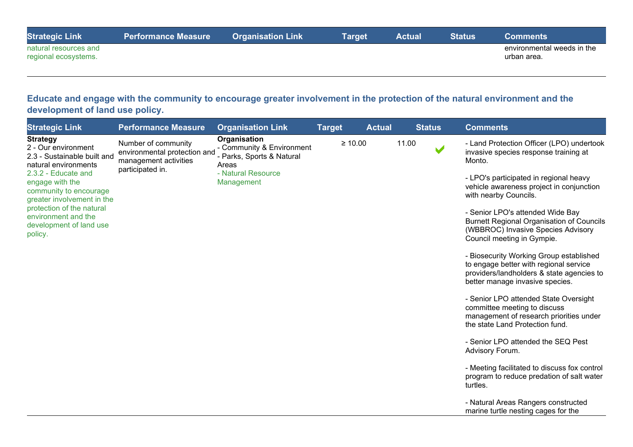| <b>Strategic Link</b>                         | <b>Performance Measure</b> | ∣ Organisation Link <sup>∣</sup> | <b>Target</b> | Actual | <b>Status</b> | Comments                                  |
|-----------------------------------------------|----------------------------|----------------------------------|---------------|--------|---------------|-------------------------------------------|
| natural resources and<br>regional ecosystems. |                            |                                  |               |        |               | environmental weeds in the<br>urban area. |

**Educate and engage with the community to encourage greater involvement in the protection of the natural environment and the development of land use policy.**

| <b>Strategic Link</b>                                                                                                | <b>Performance Measure</b>                                                                       | <b>Organisation Link</b>                                                                                            | <b>Target</b> | <b>Actual</b> |       | <b>Status</b> | <b>Comments</b>                                                                                                                                                   |
|----------------------------------------------------------------------------------------------------------------------|--------------------------------------------------------------------------------------------------|---------------------------------------------------------------------------------------------------------------------|---------------|---------------|-------|---------------|-------------------------------------------------------------------------------------------------------------------------------------------------------------------|
| <b>Strategy</b><br>2 - Our environment<br>2.3 - Sustainable built and<br>natural environments<br>2.3.2 - Educate and | Number of community<br>environmental protection and<br>management activities<br>participated in. | Organisation<br>- Community & Environment<br>- Parks, Sports & Natural<br>Areas<br>- Natural Resource<br>Management |               | $\geq 10.00$  | 11.00 |               | - Land Protection Officer (LPO) undertook<br>invasive species response training at<br>Monto.<br>- LPO's participated in regional heavy                            |
| engage with the<br>community to encourage<br>greater involvement in the<br>protection of the natural                 |                                                                                                  |                                                                                                                     |               |               |       |               | vehicle awareness project in conjunction<br>with nearby Councils.                                                                                                 |
| environment and the<br>development of land use<br>policy.                                                            |                                                                                                  |                                                                                                                     |               |               |       |               | - Senior LPO's attended Wide Bay<br><b>Burnett Regional Organisation of Councils</b><br>(WBBROC) Invasive Species Advisory<br>Council meeting in Gympie.          |
|                                                                                                                      |                                                                                                  |                                                                                                                     |               |               |       |               | - Biosecurity Working Group established<br>to engage better with regional service<br>providers/landholders & state agencies to<br>better manage invasive species. |
|                                                                                                                      |                                                                                                  |                                                                                                                     |               |               |       |               | - Senior LPO attended State Oversight<br>committee meeting to discuss<br>management of research priorities under<br>the state Land Protection fund.               |
|                                                                                                                      |                                                                                                  |                                                                                                                     |               |               |       |               | - Senior LPO attended the SEQ Pest<br>Advisory Forum.                                                                                                             |
|                                                                                                                      |                                                                                                  |                                                                                                                     |               |               |       |               | - Meeting facilitated to discuss fox control<br>program to reduce predation of salt water<br>turtles.                                                             |
|                                                                                                                      |                                                                                                  |                                                                                                                     |               |               |       |               | - Natural Areas Rangers constructed<br>marine turtle nesting cages for the                                                                                        |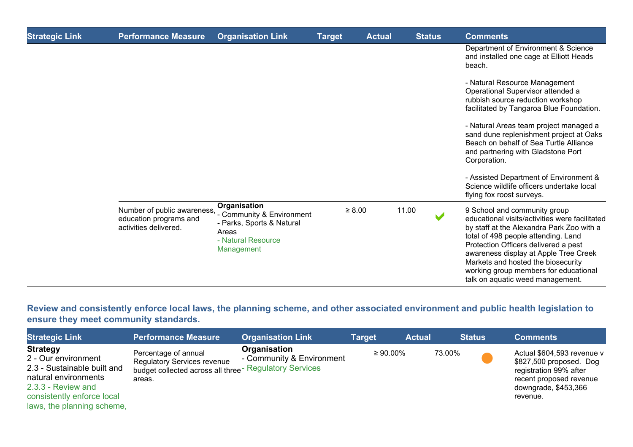| <b>Strategic Link</b> | <b>Performance Measure</b>                                                     | <b>Organisation Link</b>                                                                                            | <b>Target</b> | <b>Actual</b> |       | <b>Status</b> | <b>Comments</b>                                                                                                                                                                                                                                                                                                                                                        |
|-----------------------|--------------------------------------------------------------------------------|---------------------------------------------------------------------------------------------------------------------|---------------|---------------|-------|---------------|------------------------------------------------------------------------------------------------------------------------------------------------------------------------------------------------------------------------------------------------------------------------------------------------------------------------------------------------------------------------|
|                       |                                                                                |                                                                                                                     |               |               |       |               | Department of Environment & Science<br>and installed one cage at Elliott Heads<br>beach.                                                                                                                                                                                                                                                                               |
|                       |                                                                                |                                                                                                                     |               |               |       |               | - Natural Resource Management<br>Operational Supervisor attended a<br>rubbish source reduction workshop<br>facilitated by Tangaroa Blue Foundation.                                                                                                                                                                                                                    |
|                       |                                                                                |                                                                                                                     |               |               |       |               | - Natural Areas team project managed a<br>sand dune replenishment project at Oaks<br>Beach on behalf of Sea Turtle Alliance<br>and partnering with Gladstone Port<br>Corporation.                                                                                                                                                                                      |
|                       |                                                                                |                                                                                                                     |               |               |       |               | - Assisted Department of Environment &<br>Science wildlife officers undertake local<br>flying fox roost surveys.                                                                                                                                                                                                                                                       |
|                       | Number of public awareness,<br>education programs and<br>activities delivered. | Organisation<br>- Community & Environment<br>- Parks, Sports & Natural<br>Areas<br>- Natural Resource<br>Management |               | $\geq 8.00$   | 11.00 |               | 9 School and community group<br>educational visits/activities were facilitated<br>by staff at the Alexandra Park Zoo with a<br>total of 498 people attending. Land<br>Protection Officers delivered a pest<br>awareness display at Apple Tree Creek<br>Markets and hosted the biosecurity<br>working group members for educational<br>talk on aquatic weed management. |

**Review and consistently enforce local laws, the planning scheme, and other associated environment and public health legislation to ensure they meet community standards.**

| <b>Strategic Link</b>                                                                                                                                                           | <b>Performance Measure</b>                                                                                                                 | <b>Organisation Link</b>                  | <b>Target</b>  | <b>Actual</b> | <b>Status</b> | <b>Comments</b>                                                                                                                                |
|---------------------------------------------------------------------------------------------------------------------------------------------------------------------------------|--------------------------------------------------------------------------------------------------------------------------------------------|-------------------------------------------|----------------|---------------|---------------|------------------------------------------------------------------------------------------------------------------------------------------------|
| <b>Strategy</b><br>2 - Our environment<br>2.3 - Sustainable built and<br>natural environments<br>2.3.3 - Review and<br>consistently enforce local<br>laws, the planning scheme, | Percentage of annual<br><b>Regulatory Services revenue</b><br>budget collected across all three <sup>-</sup> Regulatory Services<br>areas. | Organisation<br>- Community & Environment | $\geq 90.00\%$ | 73.00%        |               | Actual \$604,593 revenue v<br>\$827,500 proposed. Dog<br>registration 99% after<br>recent proposed revenue<br>downgrade, \$453,366<br>revenue. |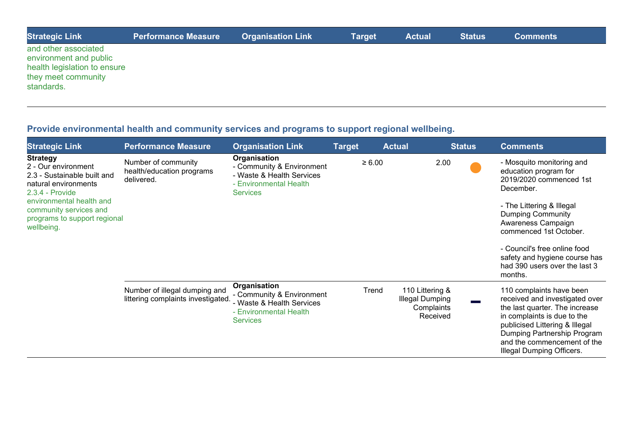| <b>Strategic Link</b>                                                                                               | <b>Performance Measure</b> | <b>Organisation Link</b> | <b>Target</b> | <b>Actual</b> | <b>Status</b> | <b>Comments</b> |  |
|---------------------------------------------------------------------------------------------------------------------|----------------------------|--------------------------|---------------|---------------|---------------|-----------------|--|
| and other associated<br>environment and public<br>health legislation to ensure<br>they meet community<br>standards. |                            |                          |               |               |               |                 |  |

# **Provide environmental health and community services and programs to support regional wellbeing.**

| <b>Strategic Link</b>                                                                                                                                                                                                | <b>Performance Measure</b>                                          | <b>Organisation Link</b>                                                                                            | <b>Target</b> | <b>Actual</b> |                                                                     | <b>Status</b> | <b>Comments</b>                                                                                                                                                                                                                                                                                                  |
|----------------------------------------------------------------------------------------------------------------------------------------------------------------------------------------------------------------------|---------------------------------------------------------------------|---------------------------------------------------------------------------------------------------------------------|---------------|---------------|---------------------------------------------------------------------|---------------|------------------------------------------------------------------------------------------------------------------------------------------------------------------------------------------------------------------------------------------------------------------------------------------------------------------|
| <b>Strategy</b><br>2 - Our environment<br>2.3 - Sustainable built and<br>natural environments<br>2.3.4 - Provide<br>environmental health and<br>community services and<br>programs to support regional<br>wellbeing. | Number of community<br>health/education programs<br>delivered.      | Organisation<br>- Community & Environment<br>- Waste & Health Services<br>- Environmental Health<br><b>Services</b> |               | $\geq 6.00$   | 2.00                                                                |               | - Mosquito monitoring and<br>education program for<br>2019/2020 commenced 1st<br>December.<br>- The Littering & Illegal<br><b>Dumping Community</b><br>Awareness Campaign<br>commenced 1st October.<br>- Council's free online food<br>safety and hygiene course has<br>had 390 users over the last 3<br>months. |
|                                                                                                                                                                                                                      | Number of illegal dumping and<br>littering complaints investigated. | Organisation<br>- Community & Environment<br>- Waste & Health Services<br>- Environmental Health<br><b>Services</b> |               | Trend         | 110 Littering &<br><b>Illegal Dumping</b><br>Complaints<br>Received |               | 110 complaints have been<br>received and investigated over<br>the last quarter. The increase<br>in complaints is due to the<br>publicised Littering & Illegal<br>Dumping Partnership Program<br>and the commencement of the<br>Illegal Dumping Officers.                                                         |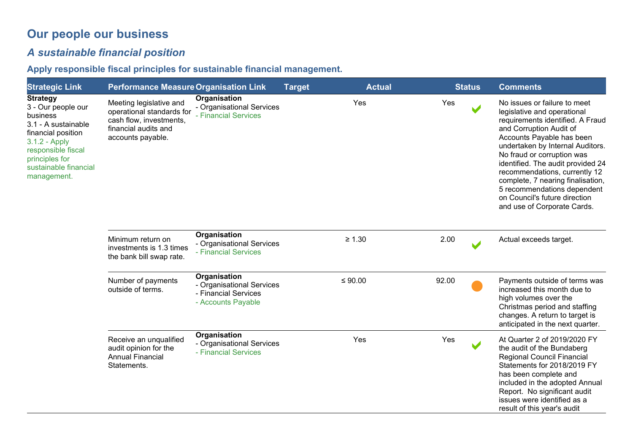# **Our people our business**

# *A sustainable financial position*

**Apply responsible fiscal principles for sustainable financial management.**

| <b>Strategic Link</b>                                                                                                                                                                           | <b>Performance Measure Organisation Link</b>                                                                                 |                                                                                         | <b>Target</b> | <b>Actual</b> | <b>Status</b> | <b>Comments</b>                                                                                                                                                                                                                                                                                                                                                                                                                     |
|-------------------------------------------------------------------------------------------------------------------------------------------------------------------------------------------------|------------------------------------------------------------------------------------------------------------------------------|-----------------------------------------------------------------------------------------|---------------|---------------|---------------|-------------------------------------------------------------------------------------------------------------------------------------------------------------------------------------------------------------------------------------------------------------------------------------------------------------------------------------------------------------------------------------------------------------------------------------|
| <b>Strategy</b><br>3 - Our people our<br>business<br>3.1 - A sustainable<br>financial position<br>3.1.2 - Apply<br>responsible fiscal<br>principles for<br>sustainable financial<br>management. | Meeting legislative and<br>operational standards for<br>cash flow, investments,<br>financial audits and<br>accounts payable. | Organisation<br>- Organisational Services<br>- Financial Services                       |               | Yes           | Yes           | No issues or failure to meet<br>legislative and operational<br>requirements identified. A Fraud<br>and Corruption Audit of<br>Accounts Payable has been<br>undertaken by Internal Auditors.<br>No fraud or corruption was<br>identified. The audit provided 24<br>recommendations, currently 12<br>complete, 7 nearing finalisation,<br>5 recommendations dependent<br>on Council's future direction<br>and use of Corporate Cards. |
|                                                                                                                                                                                                 | Minimum return on<br>investments is 1.3 times<br>the bank bill swap rate.                                                    | Organisation<br>- Organisational Services<br>- Financial Services                       |               | $\geq 1.30$   | 2.00          | Actual exceeds target.                                                                                                                                                                                                                                                                                                                                                                                                              |
|                                                                                                                                                                                                 | Number of payments<br>outside of terms.                                                                                      | Organisation<br>- Organisational Services<br>- Financial Services<br>- Accounts Payable |               | $≤ 90.00$     | 92.00         | Payments outside of terms was<br>increased this month due to<br>high volumes over the<br>Christmas period and staffing<br>changes. A return to target is<br>anticipated in the next quarter.                                                                                                                                                                                                                                        |
|                                                                                                                                                                                                 | Receive an unqualified<br>audit opinion for the<br><b>Annual Financial</b><br>Statements.                                    | Organisation<br>- Organisational Services<br>- Financial Services                       |               | Yes           | Yes           | At Quarter 2 of 2019/2020 FY<br>the audit of the Bundaberg<br><b>Regional Council Financial</b><br>Statements for 2018/2019 FY<br>has been complete and<br>included in the adopted Annual<br>Report. No significant audit<br>issues were identified as a<br>result of this year's audit                                                                                                                                             |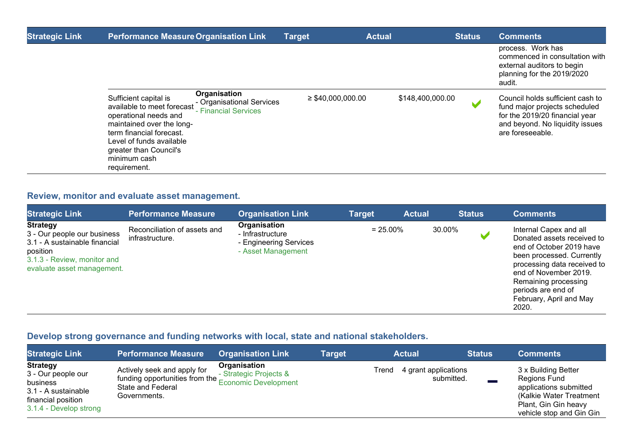| <b>Strategic Link</b> | <b>Performance Measure Organisation Link</b>                                                                                                                                                                                                |                                                   | <b>Target</b>          | <b>Actual</b>    | <b>Status</b> | <b>Comments</b>                                                                                                                                            |
|-----------------------|---------------------------------------------------------------------------------------------------------------------------------------------------------------------------------------------------------------------------------------------|---------------------------------------------------|------------------------|------------------|---------------|------------------------------------------------------------------------------------------------------------------------------------------------------------|
|                       |                                                                                                                                                                                                                                             |                                                   |                        |                  |               | process. Work has<br>commenced in consultation with<br>external auditors to begin<br>planning for the 2019/2020<br>audit.                                  |
|                       | Organisation<br>Sufficient capital is<br>available to meet forecast<br>operational needs and<br>maintained over the long-<br>term financial forecast.<br>Level of funds available<br>greater than Council's<br>minimum cash<br>requirement. | - Organisational Services<br>- Financial Services | $\geq$ \$40,000,000.00 | \$148,400,000.00 |               | Council holds sufficient cash to<br>fund major projects scheduled<br>for the 2019/20 financial year<br>and beyond. No liquidity issues<br>are foreseeable. |

### **Review, monitor and evaluate asset management.**

| <b>Strategic Link</b>                                                                                                                                    | <b>Performance Measure</b>                      | <b>Organisation Link</b>                                                         | <b>Target</b> | <b>Actual</b> | <b>Status</b> | <b>Comments</b>                                                                                                                                                                                                                                         |
|----------------------------------------------------------------------------------------------------------------------------------------------------------|-------------------------------------------------|----------------------------------------------------------------------------------|---------------|---------------|---------------|---------------------------------------------------------------------------------------------------------------------------------------------------------------------------------------------------------------------------------------------------------|
| <b>Strategy</b><br>3 - Our people our business<br>3.1 - A sustainable financial<br>position<br>3.1.3 - Review, monitor and<br>evaluate asset management. | Reconciliation of assets and<br>infrastructure. | Organisation<br>- Infrastructure<br>- Engineering Services<br>- Asset Management | $= 25.00\%$   |               | 30.00%        | Internal Capex and all<br>Donated assets received to<br>end of October 2019 have<br>been processed. Currently<br>processing data received to<br>end of November 2019.<br>Remaining processing<br>periods are end of<br>February, April and May<br>2020. |

### **Develop strong governance and funding networks with local, state and national stakeholders.**

| <b>Strategic Link</b>                                                                                                    | <b>Performance Measure</b>                                                                                              | <b>Organisation Link</b>               | Target | <b>Actual</b>                               | <b>Status</b> | <b>Comments</b>                                                                                                                              |
|--------------------------------------------------------------------------------------------------------------------------|-------------------------------------------------------------------------------------------------------------------------|----------------------------------------|--------|---------------------------------------------|---------------|----------------------------------------------------------------------------------------------------------------------------------------------|
| <b>Strategy</b><br>3 - Our people our<br>business<br>3.1 - A sustainable<br>financial position<br>3.1.4 - Develop strong | Actively seek and apply for<br>funding opportunities from the Economic Development<br>State and Federal<br>Governments. | Organisation<br>- Strategic Projects & |        | 4 grant applications<br>Trend<br>submitted. |               | 3 x Building Better<br>Regions Fund<br>applications submitted<br>(Kalkie Water Treatment<br>Plant, Gin Gin heavy<br>vehicle stop and Gin Gin |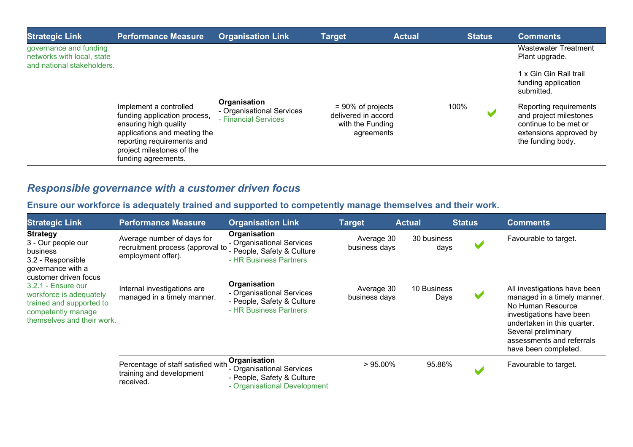| <b>Strategic Link</b>                                                              | <b>Performance Measure</b>                                                                                                                                                                        | <b>Organisation Link</b>                                          | <b>Target</b>                                                                 | <b>Actual</b> | <b>Status</b> | <b>Comments</b>                                                                                                          |
|------------------------------------------------------------------------------------|---------------------------------------------------------------------------------------------------------------------------------------------------------------------------------------------------|-------------------------------------------------------------------|-------------------------------------------------------------------------------|---------------|---------------|--------------------------------------------------------------------------------------------------------------------------|
| governance and funding<br>networks with local, state<br>and national stakeholders. |                                                                                                                                                                                                   |                                                                   |                                                                               |               |               | <b>Wastewater Treatment</b><br>Plant upgrade.                                                                            |
|                                                                                    |                                                                                                                                                                                                   |                                                                   |                                                                               |               |               | 1 x Gin Gin Rail trail<br>funding application<br>submitted.                                                              |
|                                                                                    | Implement a controlled<br>funding application process,<br>ensuring high quality<br>applications and meeting the<br>reporting requirements and<br>project milestones of the<br>funding agreements. | Organisation<br>- Organisational Services<br>- Financial Services | $= 90\%$ of projects<br>delivered in accord<br>with the Funding<br>agreements |               | 100%          | Reporting requirements<br>and project milestones<br>continue to be met or<br>extensions approved by<br>the funding body. |

# *Responsible governance with a customer driven focus*

**Ensure our workforce is adequately trained and supported to competently manage themselves and their work.**

| <b>Strategic Link</b>                                                                                                                                                                                                                                   | <b>Performance Measure</b>                                                           | <b>Organisation Link</b>                                                                                | <b>Target</b>               | <b>Actual</b>       | <b>Status</b>         | <b>Comments</b>                                                                                                                                                                                                         |
|---------------------------------------------------------------------------------------------------------------------------------------------------------------------------------------------------------------------------------------------------------|--------------------------------------------------------------------------------------|---------------------------------------------------------------------------------------------------------|-----------------------------|---------------------|-----------------------|-------------------------------------------------------------------------------------------------------------------------------------------------------------------------------------------------------------------------|
| <b>Strategy</b><br>3 - Our people our<br>business<br>3.2 - Responsible<br>governance with a<br>customer driven focus<br>$3.2.1$ - Ensure our<br>workforce is adequately<br>trained and supported to<br>competently manage<br>themselves and their work. | Average number of days for<br>recruitment process (approval to<br>employment offer). | Organisation<br>- Organisational Services<br>- People, Safety & Culture<br>- HR Business Partners       | Average 30<br>business days | 30 business<br>days | V                     | Favourable to target.                                                                                                                                                                                                   |
|                                                                                                                                                                                                                                                         | Internal investigations are<br>managed in a timely manner.                           | Organisation<br>- Organisational Services<br>- People, Safety & Culture<br>- HR Business Partners       | Average 30<br>business days | 10 Business<br>Days | V                     | All investigations have been<br>managed in a timely manner.<br>No Human Resource<br>investigations have been<br>undertaken in this quarter.<br>Several preliminary<br>assessments and referrals<br>have been completed. |
|                                                                                                                                                                                                                                                         | Percentage of staff satisfied with<br>training and development<br>received.          | Organisation<br>- Organisational Services<br>- People, Safety & Culture<br>- Organisational Development | $>95.00\%$                  | 95.86%              | $\blacktriangleright$ | Favourable to target.                                                                                                                                                                                                   |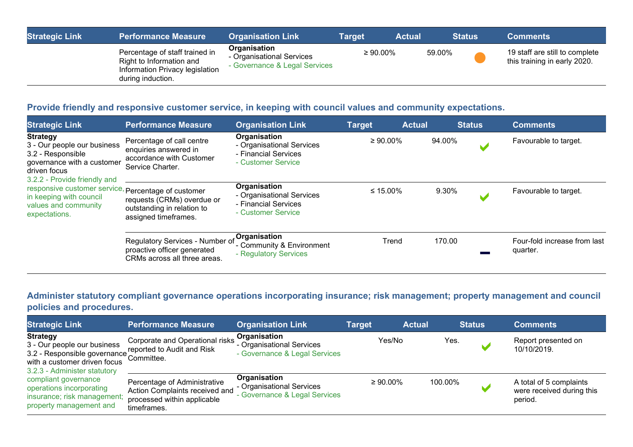| <b>Strategic Link</b> | <b>Performance Measure</b>                                                                                         | <b>Organisation Link</b>                                                   | Target         | <b>Actual</b> | <b>Status</b> | <b>Comments</b>                                                |
|-----------------------|--------------------------------------------------------------------------------------------------------------------|----------------------------------------------------------------------------|----------------|---------------|---------------|----------------------------------------------------------------|
|                       | Percentage of staff trained in<br>Right to Information and<br>Information Privacy legislation<br>during induction. | Organisation<br>- Organisational Services<br>- Governance & Legal Services | $\geq 90.00\%$ |               | 59.00%        | 19 staff are still to complete<br>this training in early 2020. |

#### **Provide friendly and responsive customer service, in keeping with council values and community expectations.**

| <b>Strategic Link</b>                                                                                                                                                                                                                                                        | <b>Performance Measure</b>                                                                         | <b>Organisation Link</b>                                                                | <b>Target</b>  | <b>Actual</b> | <b>Status</b> | <b>Comments</b>                          |
|------------------------------------------------------------------------------------------------------------------------------------------------------------------------------------------------------------------------------------------------------------------------------|----------------------------------------------------------------------------------------------------|-----------------------------------------------------------------------------------------|----------------|---------------|---------------|------------------------------------------|
| <b>Strategy</b><br>3 - Our people our business<br>3.2 - Responsible<br>governance with a customer<br>driven focus<br>3.2.2 - Provide friendly and<br>responsive customer service, Percentage of customer<br>in keeping with council<br>values and community<br>expectations. | Percentage of call centre<br>enquiries answered in<br>accordance with Customer<br>Service Charter. | Organisation<br>- Organisational Services<br>- Financial Services<br>- Customer Service | $\geq 90.00\%$ |               | 94.00%        | Favourable to target.                    |
|                                                                                                                                                                                                                                                                              | requests (CRMs) overdue or<br>outstanding in relation to<br>assigned timeframes.                   | Organisation<br>- Organisational Services<br>- Financial Services<br>- Customer Service | ≤ 15.00%       |               | 9.30%         | Favourable to target.                    |
|                                                                                                                                                                                                                                                                              | Regulatory Services - Number of<br>proactive officer generated<br>CRMs across all three areas.     | Organisation<br>- Community & Environment<br>- Regulatory Services                      | Trend          |               | 170.00        | Four-fold increase from last<br>quarter. |

### **Administer statutory compliant governance operations incorporating insurance; risk management; property management and council policies and procedures.**

| <b>Strategic Link</b>                                                                                                                                     | <b>Performance Measure</b>                                                                                   | <b>Organisation Link</b>                                                   | <b>Target</b> | <b>Actual</b>  |         | <b>Status</b> | <b>Comments</b>                                                 |
|-----------------------------------------------------------------------------------------------------------------------------------------------------------|--------------------------------------------------------------------------------------------------------------|----------------------------------------------------------------------------|---------------|----------------|---------|---------------|-----------------------------------------------------------------|
| <b>Strategy</b><br>3 - Our people our business<br>3.2 - Responsible governance committee.<br>with a customer driven focus<br>3.2.3 - Administer statutory | Corporate and Operational risks<br>reported to Audit and Risk                                                | Organisation<br>- Organisational Services<br>- Governance & Legal Services |               | Yes/No         | Yes.    |               | Report presented on<br>10/10/2019.                              |
| compliant governance<br>operations incorporating<br>insurance; risk management;<br>property management and                                                | Percentage of Administrative<br>Action Complaints received and<br>processed within applicable<br>timeframes. | Organisation<br>- Organisational Services<br>- Governance & Legal Services |               | $\geq 90.00\%$ | 100.00% |               | A total of 5 complaints<br>were received during this<br>period. |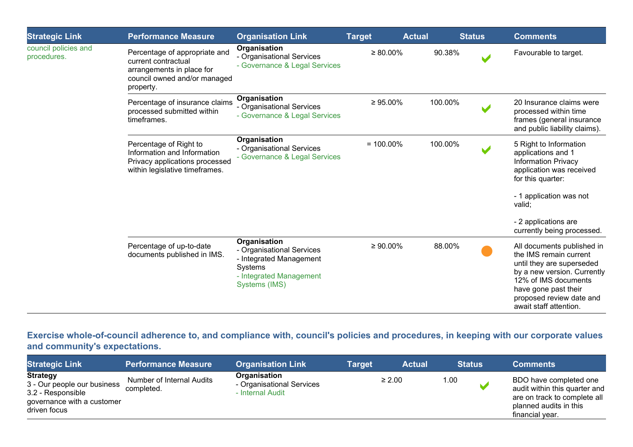| <b>Strategic Link</b>               | <b>Performance Measure</b>                                                                                                     | <b>Organisation Link</b>                                                                                                    | <b>Target</b>  | <b>Actual</b> | <b>Status</b> | <b>Comments</b>                                                                                                                                                                                                        |
|-------------------------------------|--------------------------------------------------------------------------------------------------------------------------------|-----------------------------------------------------------------------------------------------------------------------------|----------------|---------------|---------------|------------------------------------------------------------------------------------------------------------------------------------------------------------------------------------------------------------------------|
| council policies and<br>procedures. | Percentage of appropriate and<br>current contractual<br>arrangements in place for<br>council owned and/or managed<br>property. | Organisation<br>- Organisational Services<br>- Governance & Legal Services                                                  | $\geq 80.00\%$ | 90.38%        |               | Favourable to target.                                                                                                                                                                                                  |
|                                     | Percentage of insurance claims<br>processed submitted within<br>timeframes.                                                    | Organisation<br>- Organisational Services<br>- Governance & Legal Services                                                  | $\geq 95.00\%$ | 100.00%       |               | 20 Insurance claims were<br>processed within time<br>frames (general insurance<br>and public liability claims).                                                                                                        |
|                                     | Percentage of Right to<br>Information and Information<br>Privacy applications processed<br>within legislative timeframes.      | Organisation<br>- Organisational Services<br>- Governance & Legal Services                                                  | $= 100.00\%$   | 100.00%       |               | 5 Right to Information<br>applications and 1<br><b>Information Privacy</b><br>application was received<br>for this quarter:<br>- 1 application was not<br>valid;<br>- 2 applications are<br>currently being processed. |
|                                     | Percentage of up-to-date<br>documents published in IMS.                                                                        | Organisation<br>- Organisational Services<br>- Integrated Management<br>Systems<br>- Integrated Management<br>Systems (IMS) | $\geq 90.00\%$ | 88.00%        |               | All documents published in<br>the IMS remain current<br>until they are superseded<br>by a new version. Currently<br>12% of IMS documents<br>have gone past their<br>proposed review date and<br>await staff attention. |

**Exercise whole-of-council adherence to, and compliance with, council's policies and procedures, in keeping with our corporate values and community's expectations.**

| <b>Strategic Link</b>                                                                                             | <b>Performance Measure</b>              | Organisation Link                                             | <b>Target</b> | <b>Actual</b> |      | <b>Status</b> | <b>Comments</b>                                                                                                                      |
|-------------------------------------------------------------------------------------------------------------------|-----------------------------------------|---------------------------------------------------------------|---------------|---------------|------|---------------|--------------------------------------------------------------------------------------------------------------------------------------|
| <b>Strategy</b><br>3 - Our people our business<br>3.2 - Responsible<br>governance with a customer<br>driven focus | Number of Internal Audits<br>completed. | Organisation<br>- Organisational Services<br>- Internal Audit |               | $\geq 2.00$   | 1.00 |               | BDO have completed one<br>audit within this quarter and<br>are on track to complete all<br>planned audits in this<br>financial year. |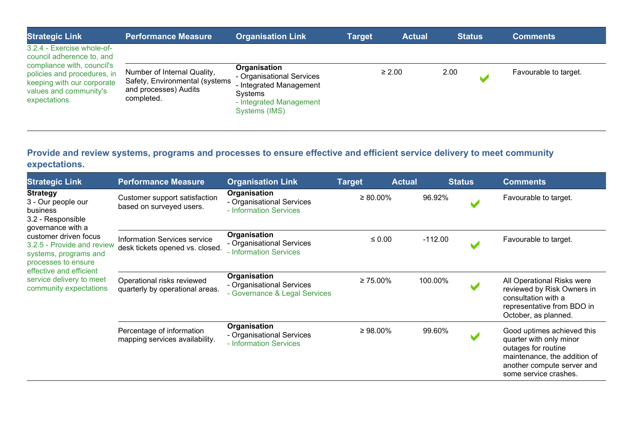| <b>Strategic Link</b>                                                                                                              | <b>Performance Measure</b>                                                                           | <b>Organisation Link</b>                                                                                                           | <b>Target</b> | <b>Actual</b> | <b>Status</b> | <b>Comments</b>       |
|------------------------------------------------------------------------------------------------------------------------------------|------------------------------------------------------------------------------------------------------|------------------------------------------------------------------------------------------------------------------------------------|---------------|---------------|---------------|-----------------------|
| 3.2.4 - Exercise whole-of-<br>council adherence to, and                                                                            |                                                                                                      |                                                                                                                                    |               |               |               |                       |
| compliance with, council's<br>policies and procedures, in<br>keeping with our corporate<br>values and community's<br>expectations. | Number of Internal Quality,<br>Safety, Environmental (systems<br>and processes) Audits<br>completed. | Organisation<br>- Organisational Services<br>- Integrated Management<br><b>Systems</b><br>- Integrated Management<br>Systems (IMS) |               | $\geq 2.00$   | 2.00          | Favourable to target. |

### **Provide and review systems, programs and processes to ensure effective and efficient service delivery to meet community expectations.**

| <b>Strategic Link</b>                                                                                                                                                                                                                                                               | <b>Performance Measure</b>                                      | <b>Organisation Link</b>                                                   | <b>Target</b>  | <b>Actual</b> | <b>Status</b> | <b>Comments</b>                                                                                                                                                     |
|-------------------------------------------------------------------------------------------------------------------------------------------------------------------------------------------------------------------------------------------------------------------------------------|-----------------------------------------------------------------|----------------------------------------------------------------------------|----------------|---------------|---------------|---------------------------------------------------------------------------------------------------------------------------------------------------------------------|
| <b>Strategy</b><br>3 - Our people our<br>business<br>3.2 - Responsible<br>governance with a<br>customer driven focus<br>3.2.5 - Provide and review<br>systems, programs and<br>processes to ensure<br>effective and efficient<br>service delivery to meet<br>community expectations | Customer support satisfaction<br>based on surveyed users.       | Organisation<br>- Organisational Services<br>- Information Services        | $\geq 80.00\%$ | 96.92%        |               | Favourable to target.                                                                                                                                               |
|                                                                                                                                                                                                                                                                                     | Information Services service<br>desk tickets opened vs. closed. | Organisation<br>- Organisational Services<br>- Information Services        | $\leq 0.00$    | $-112.00$     |               | Favourable to target.                                                                                                                                               |
|                                                                                                                                                                                                                                                                                     | Operational risks reviewed<br>quarterly by operational areas.   | Organisation<br>- Organisational Services<br>- Governance & Legal Services | $\geq 75.00\%$ | 100.00%       |               | All Operational Risks were<br>reviewed by Risk Owners in<br>consultation with a<br>representative from BDO in<br>October, as planned.                               |
|                                                                                                                                                                                                                                                                                     | Percentage of information<br>mapping services availability.     | Organisation<br>- Organisational Services<br>- Information Services        | $\geq 98.00\%$ | 99.60%        |               | Good uptimes achieved this<br>quarter with only minor<br>outages for routine<br>maintenance, the addition of<br>another compute server and<br>some service crashes. |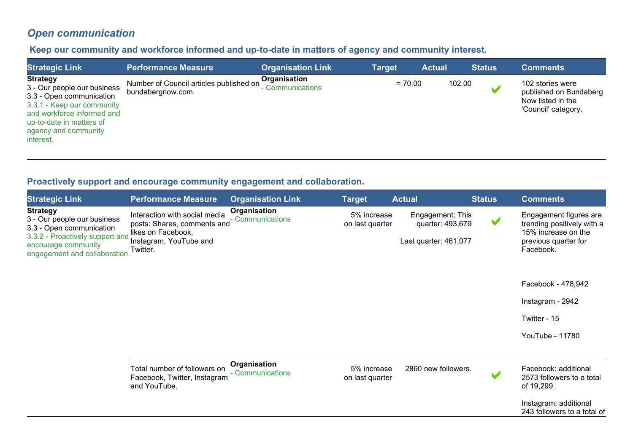# *Open communication*

### **Keep our community and workforce informed and up-to-date in matters of agency and community interest.**

| <b>Strategic Link</b>                                                                                                                                                                                   | <b>Performance Measure</b>                                   | <b>Organisation Link</b>              | Target    | <b>Actual</b> | <b>Status</b> | <b>Comments</b>                                                                        |
|---------------------------------------------------------------------------------------------------------------------------------------------------------------------------------------------------------|--------------------------------------------------------------|---------------------------------------|-----------|---------------|---------------|----------------------------------------------------------------------------------------|
| <b>Strategy</b><br>3 - Our people our business<br>3.3 - Open communication<br>3.3.1 - Keep our community<br>and workforce informed and<br>up-to-date in matters of<br>agency and community<br>interest. | Number of Council articles published on<br>bundabergnow.com. | Organisation<br><b>Communications</b> | $= 70.00$ |               | 102.00        | 102 stories were<br>published on Bundaberg<br>Now listed in the<br>'Council' category. |

### **Proactively support and encourage community engagement and collaboration.**

| <b>Strategic Link</b>                                                                                                                                                 | <b>Performance Measure</b>                                                                                               | <b>Organisation Link</b>         | <b>Target</b>                  | <b>Actual</b>                                                 | <b>Status</b>        | <b>Comments</b>                                                                                                  |
|-----------------------------------------------------------------------------------------------------------------------------------------------------------------------|--------------------------------------------------------------------------------------------------------------------------|----------------------------------|--------------------------------|---------------------------------------------------------------|----------------------|------------------------------------------------------------------------------------------------------------------|
| <b>Strategy</b><br>3 - Our people our business<br>3.3 - Open communication<br>3.3.2 - Proactively support and<br>encourage community<br>engagement and collaboration. | Interaction with social media<br>posts: Shares, comments and<br>likes on Facebook,<br>Instagram, YouTube and<br>Twitter. | Organisation<br>- Communications | 5% increase<br>on last quarter | Engagement: This<br>quarter: 493,679<br>Last quarter: 461,077 | $\blacktriangledown$ | Engagement figures are<br>trending positively with a<br>15% increase on the<br>previous quarter for<br>Facebook. |
|                                                                                                                                                                       |                                                                                                                          |                                  |                                |                                                               |                      | Facebook - 478,942                                                                                               |
|                                                                                                                                                                       |                                                                                                                          |                                  |                                |                                                               |                      | Instagram - 2942                                                                                                 |
|                                                                                                                                                                       |                                                                                                                          |                                  |                                |                                                               |                      | Twitter - 15                                                                                                     |
|                                                                                                                                                                       |                                                                                                                          |                                  |                                |                                                               |                      | YouTube - 11780                                                                                                  |
|                                                                                                                                                                       |                                                                                                                          |                                  |                                |                                                               |                      |                                                                                                                  |
|                                                                                                                                                                       | Total number of followers on<br>Facebook, Twitter, Instagram<br>and YouTube.                                             | Organisation<br>- Communications | 5% increase<br>on last quarter | 2860 new followers.                                           |                      | Facebook: additional<br>2573 followers to a total<br>of 19,299.                                                  |
|                                                                                                                                                                       |                                                                                                                          |                                  |                                |                                                               |                      | Instagram: additional<br>243 followers to a total of                                                             |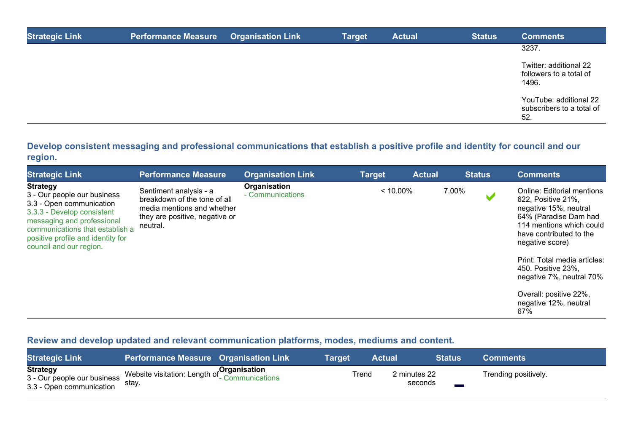| <b>Strategic Link</b> | <b>Performance Measure</b> | <b>Organisation Link</b> | <b>Target</b> | <b>Actual</b> | <b>Status</b> | <b>Comments</b>                                            |
|-----------------------|----------------------------|--------------------------|---------------|---------------|---------------|------------------------------------------------------------|
|                       |                            |                          |               |               |               | 3237.                                                      |
|                       |                            |                          |               |               |               | Twitter: additional 22<br>followers to a total of<br>1496. |
|                       |                            |                          |               |               |               | YouTube: additional 22<br>subscribers to a total of<br>52. |

### **Develop consistent messaging and professional communications that establish a positive profile and identity for council and our region.**

| <b>Strategic Link</b>                                                                                                                                                                                                                     | <b>Performance Measure</b>                                                                                                         | <b>Organisation Link</b>         | <b>Target</b> | <b>Actual</b> | <b>Status</b> | <b>Comments</b>                                                                                                                                                                     |
|-------------------------------------------------------------------------------------------------------------------------------------------------------------------------------------------------------------------------------------------|------------------------------------------------------------------------------------------------------------------------------------|----------------------------------|---------------|---------------|---------------|-------------------------------------------------------------------------------------------------------------------------------------------------------------------------------------|
| <b>Strategy</b><br>3 - Our people our business<br>3.3 - Open communication<br>3.3.3 - Develop consistent<br>messaging and professional<br>communications that establish a<br>positive profile and identity for<br>council and our region. | Sentiment analysis - a<br>breakdown of the tone of all<br>media mentions and whether<br>they are positive, negative or<br>neutral. | Organisation<br>- Communications | $< 10.00\%$   |               | 7.00%         | <b>Online: Editorial mentions</b><br>622, Positive 21%,<br>negative 15%, neutral<br>64% (Paradise Dam had<br>114 mentions which could<br>have contributed to the<br>negative score) |
|                                                                                                                                                                                                                                           |                                                                                                                                    |                                  |               |               |               | Print: Total media articles:<br>450. Positive 23%.<br>negative 7%, neutral 70%                                                                                                      |
|                                                                                                                                                                                                                                           |                                                                                                                                    |                                  |               |               |               | Overall: positive 22%,<br>negative 12%, neutral<br>67%                                                                                                                              |

### **Review and develop updated and relevant communication platforms, modes, mediums and content.**

| <b>Strategic Link</b>                                                      | <b>Performance Measure Organisation Link</b>                                                     | Tarɑet | Actual |                         | <b>Status</b> | <b>Comments</b>      |
|----------------------------------------------------------------------------|--------------------------------------------------------------------------------------------------|--------|--------|-------------------------|---------------|----------------------|
| <b>Strategy</b><br>3 - Our people our business<br>3.3 - Open communication | Website visitation: Length of <b>Organisation</b><br>Metalions of <b>Communications</b><br>stay. |        | Trend  | 2 minutes 22<br>seconds |               | Trending positively. |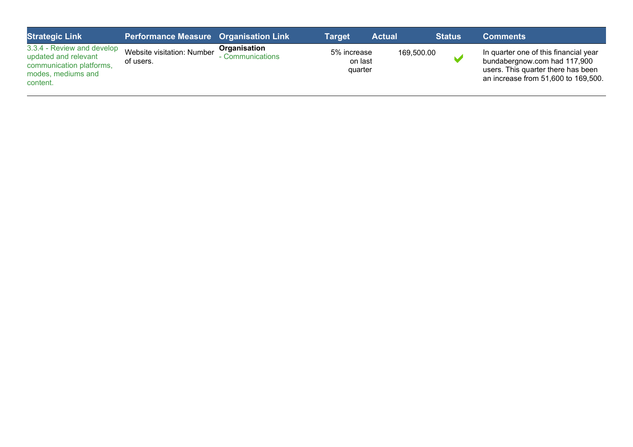| <b>Strategic Link</b>                                                                                            | <b>Performance Measure Organisation Link</b> |                                | Target                            | <b>Actual</b> | <b>Status</b> | <b>Comments</b>                                                                                                                                    |
|------------------------------------------------------------------------------------------------------------------|----------------------------------------------|--------------------------------|-----------------------------------|---------------|---------------|----------------------------------------------------------------------------------------------------------------------------------------------------|
| 3.3.4 - Review and develop<br>updated and relevant<br>communication platforms,<br>modes, mediums and<br>content. | Website visitation: Number<br>of users.      | Organisation<br>Communications | 5% increase<br>on last<br>quarter | 169,500.00    |               | In quarter one of this financial year<br>bundabergnow.com had 117,900<br>users. This quarter there has been<br>an increase from 51,600 to 169,500. |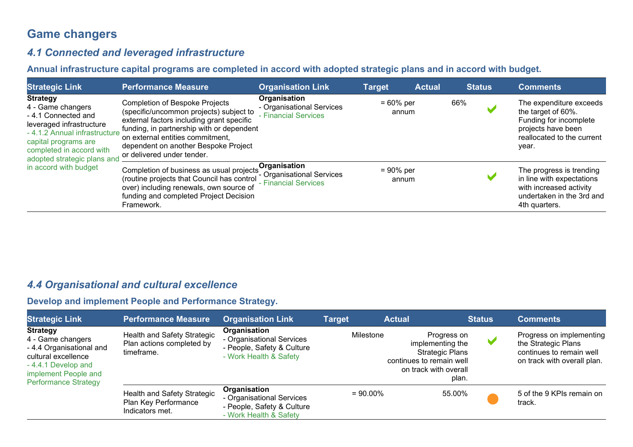# **Game changers**

### *4.1 Connected and leveraged infrastructure*

**Annual infrastructure capital programs are completed in accord with adopted strategic plans and in accord with budget.**

| <b>Strategic Link</b>                                                                                                                                                                                                               | <b>Performance Measure</b>                                                                                                                                                                                                                                                           | <b>Organisation Link</b>                                          | <b>Target</b>         | <b>Actual</b> |     | <b>Status</b> | <b>Comments</b>                                                                                                                      |
|-------------------------------------------------------------------------------------------------------------------------------------------------------------------------------------------------------------------------------------|--------------------------------------------------------------------------------------------------------------------------------------------------------------------------------------------------------------------------------------------------------------------------------------|-------------------------------------------------------------------|-----------------------|---------------|-----|---------------|--------------------------------------------------------------------------------------------------------------------------------------|
| <b>Strategy</b><br>4 - Game changers<br>-4.1 Connected and<br>leveraged infrastructure<br>- 4.1.2 Annual infrastructure<br>capital programs are<br>completed in accord with<br>adopted strategic plans and<br>in accord with budget | <b>Completion of Bespoke Projects</b><br>(specific/uncommon projects) subject to<br>external factors including grant specific<br>funding, in partnership with or dependent<br>on external entities commitment,<br>dependent on another Bespoke Project<br>or delivered under tender. | Organisation<br>- Organisational Services<br>- Financial Services | $= 60\%$ per<br>annum |               | 66% |               | The expenditure exceeds<br>the target of 60%.<br>Funding for incomplete<br>projects have been<br>reallocated to the current<br>year. |
|                                                                                                                                                                                                                                     | Completion of business as usual projects Organisation<br>(routine projects that Council has control<br>over) including renewals, own source of<br>funding and completed Project Decision<br>Framework.                                                                               | - Organisational Services<br>- Financial Services                 | $= 90\%$ per<br>annum |               |     |               | The progress is trending<br>in line with expectations<br>with increased activity<br>undertaken in the 3rd and<br>4th quarters.       |

### *4.4 Organisational and cultural excellence*

#### **Develop and implement People and Performance Strategy.**

| <b>Strategic Link</b>                                                                                                                                                | <b>Performance Measure</b>                                             | <b>Organisation Link</b>                                                                          | <b>Target</b> | <b>Actual</b>                                                         | <b>Status</b>                                       | <b>Comments</b>                                                                                            |
|----------------------------------------------------------------------------------------------------------------------------------------------------------------------|------------------------------------------------------------------------|---------------------------------------------------------------------------------------------------|---------------|-----------------------------------------------------------------------|-----------------------------------------------------|------------------------------------------------------------------------------------------------------------|
| <b>Strategy</b><br>4 - Game changers<br>- 4.4 Organisational and<br>cultural excellence<br>-4.4.1 Develop and<br>implement People and<br><b>Performance Strategy</b> | Health and Safety Strategic<br>Plan actions completed by<br>timeframe. | Organisation<br>- Organisational Services<br>- People, Safety & Culture<br>- Work Health & Safety | Milestone     | implementing the<br>continues to remain well<br>on track with overall | Progress on<br>w<br><b>Strategic Plans</b><br>plan. | Progress on implementing<br>the Strategic Plans<br>continues to remain well<br>on track with overall plan. |
|                                                                                                                                                                      | Health and Safety Strategic<br>Plan Key Performance<br>Indicators met. | Organisation<br>- Organisational Services<br>- People, Safety & Culture<br>- Work Health & Safety | $= 90.00\%$   |                                                                       | 55.00%                                              | 5 of the 9 KPIs remain on<br>track.                                                                        |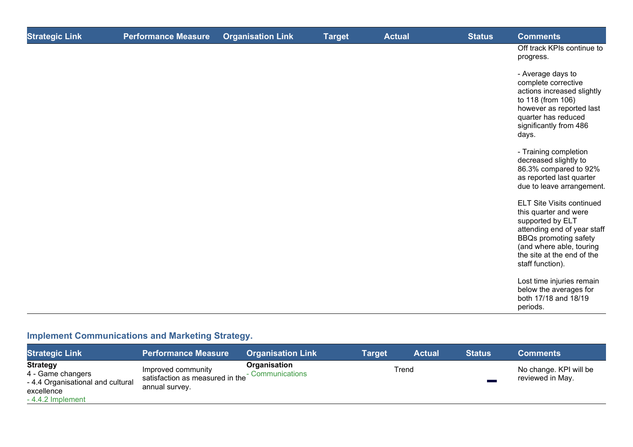| <b>Strategic Link</b> | <b>Performance Measure</b> | <b>Organisation Link</b> | <b>Target</b> | <b>Actual</b> | <b>Status</b> | <b>Comments</b>                                                                                                                                                                                                            |
|-----------------------|----------------------------|--------------------------|---------------|---------------|---------------|----------------------------------------------------------------------------------------------------------------------------------------------------------------------------------------------------------------------------|
|                       |                            |                          |               |               |               | Off track KPIs continue to<br>progress.                                                                                                                                                                                    |
|                       |                            |                          |               |               |               | - Average days to<br>complete corrective<br>actions increased slightly<br>to 118 (from 106)<br>however as reported last<br>quarter has reduced<br>significantly from 486<br>days.                                          |
|                       |                            |                          |               |               |               | - Training completion<br>decreased slightly to<br>86.3% compared to 92%<br>as reported last quarter<br>due to leave arrangement.                                                                                           |
|                       |                            |                          |               |               |               | <b>ELT Site Visits continued</b><br>this quarter and were<br>supported by ELT<br>attending end of year staff<br><b>BBQs promoting safety</b><br>(and where able, touring<br>the site at the end of the<br>staff function). |
|                       |                            |                          |               |               |               | Lost time injuries remain<br>below the averages for<br>both 17/18 and 18/19<br>periods.                                                                                                                                    |

# **Implement Communications and Marketing Strategy.**

| <b>Strategic Link</b>                                                                                       | <b>Performance Measure</b>                                              | <b>Organisation Link</b>         | <b>Target</b> | <b>Actual</b> | <b>Status</b> | <b>Comments</b>                            |
|-------------------------------------------------------------------------------------------------------------|-------------------------------------------------------------------------|----------------------------------|---------------|---------------|---------------|--------------------------------------------|
| <b>Strategy</b><br>4 - Game changers<br>- 4.4 Organisational and cultural<br>excellence<br>-4.4.2 Implement | Improved community<br>satisfaction as measured in the<br>annual survey. | Organisation<br>- Communications |               | Trend         |               | No change. KPI will be<br>reviewed in May. |